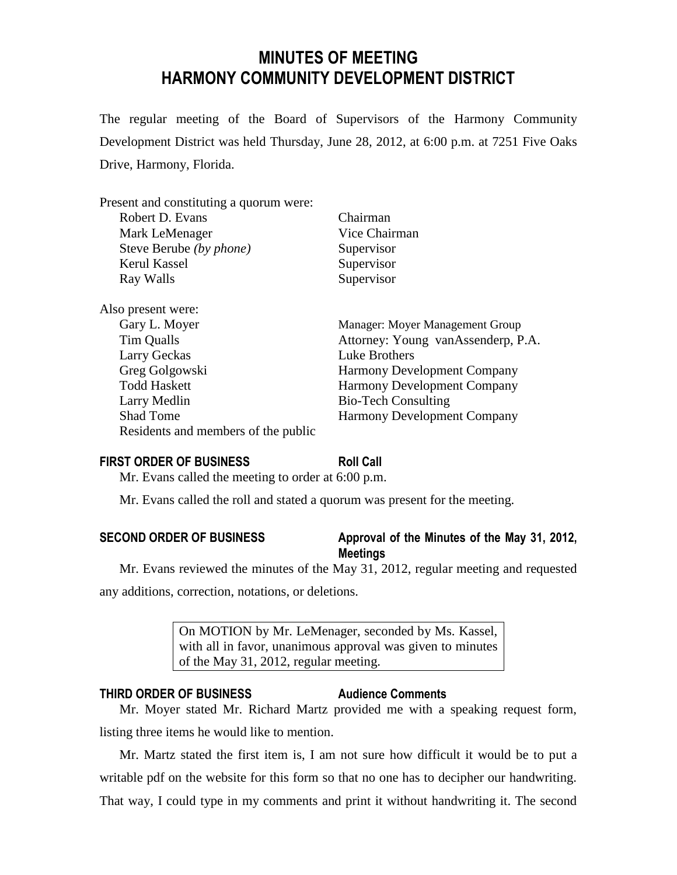# **MINUTES OF MEETING HARMONY COMMUNITY DEVELOPMENT DISTRICT**

The regular meeting of the Board of Supervisors of the Harmony Community Development District was held Thursday, June 28, 2012, at 6:00 p.m. at 7251 Five Oaks Drive, Harmony, Florida.

| Present and constituting a quorum were: |                                    |
|-----------------------------------------|------------------------------------|
| Robert D. Evans                         | Chairman                           |
| Mark LeMenager                          | Vice Chairman                      |
| Steve Berube (by phone)                 | Supervisor                         |
| Kerul Kassel                            | Supervisor                         |
| Ray Walls                               | Supervisor                         |
| Also present were:                      |                                    |
| Gary L. Moyer                           | Manager: Moyer Management Group    |
| Tim Qualls                              | Attorney: Young vanAssenderp, P.A. |
| Larry Geckas                            | Luke Brothers                      |
| Greg Golgowski                          | <b>Harmony Development Company</b> |
| <b>Todd Haskett</b>                     | <b>Harmony Development Company</b> |
| Larry Medlin                            | <b>Bio-Tech Consulting</b>         |
| <b>Shad Tome</b>                        | <b>Harmony Development Company</b> |
| Residents and members of the public     |                                    |
|                                         |                                    |

# **FIRST ORDER OF BUSINESS Roll Call**

Mr. Evans called the meeting to order at 6:00 p.m.

Mr. Evans called the roll and stated a quorum was present for the meeting.

| <b>SECOND ORDER OF BUSINESS</b> | Approval of the Minutes of the May 31, 2012, |
|---------------------------------|----------------------------------------------|
|                                 | <b>Meetings</b>                              |

Mr. Evans reviewed the minutes of the May 31, 2012, regular meeting and requested any additions, correction, notations, or deletions.

> On MOTION by Mr. LeMenager, seconded by Ms. Kassel, with all in favor, unanimous approval was given to minutes of the May 31, 2012, regular meeting.

# **THIRD ORDER OF BUSINESS Audience Comments**

Mr. Moyer stated Mr. Richard Martz provided me with a speaking request form, listing three items he would like to mention.

Mr. Martz stated the first item is, I am not sure how difficult it would be to put a writable pdf on the website for this form so that no one has to decipher our handwriting. That way, I could type in my comments and print it without handwriting it. The second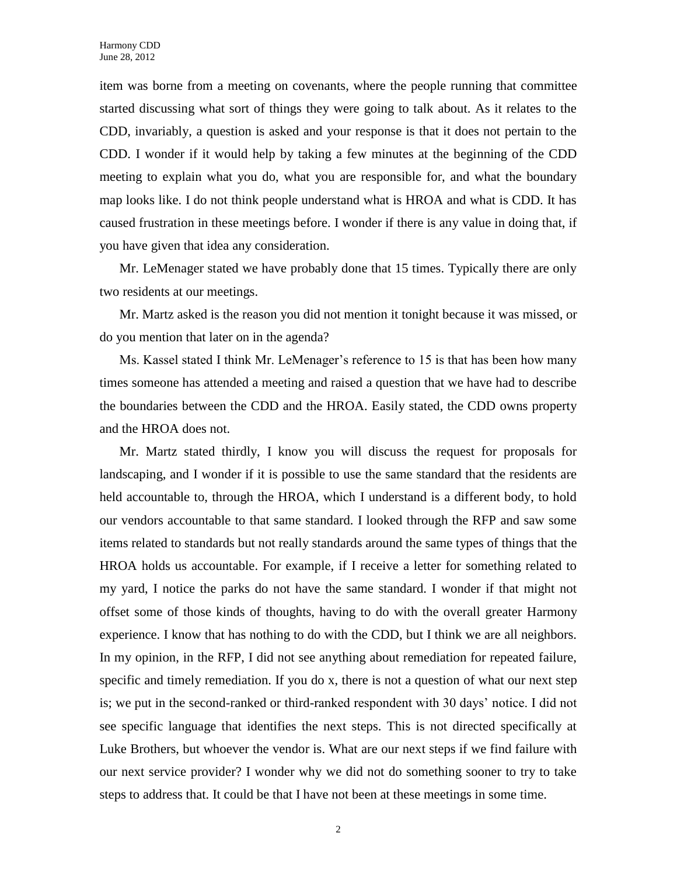item was borne from a meeting on covenants, where the people running that committee started discussing what sort of things they were going to talk about. As it relates to the CDD, invariably, a question is asked and your response is that it does not pertain to the CDD. I wonder if it would help by taking a few minutes at the beginning of the CDD meeting to explain what you do, what you are responsible for, and what the boundary map looks like. I do not think people understand what is HROA and what is CDD. It has caused frustration in these meetings before. I wonder if there is any value in doing that, if you have given that idea any consideration.

Mr. LeMenager stated we have probably done that 15 times. Typically there are only two residents at our meetings.

Mr. Martz asked is the reason you did not mention it tonight because it was missed, or do you mention that later on in the agenda?

Ms. Kassel stated I think Mr. LeMenager's reference to 15 is that has been how many times someone has attended a meeting and raised a question that we have had to describe the boundaries between the CDD and the HROA. Easily stated, the CDD owns property and the HROA does not.

Mr. Martz stated thirdly, I know you will discuss the request for proposals for landscaping, and I wonder if it is possible to use the same standard that the residents are held accountable to, through the HROA, which I understand is a different body, to hold our vendors accountable to that same standard. I looked through the RFP and saw some items related to standards but not really standards around the same types of things that the HROA holds us accountable. For example, if I receive a letter for something related to my yard, I notice the parks do not have the same standard. I wonder if that might not offset some of those kinds of thoughts, having to do with the overall greater Harmony experience. I know that has nothing to do with the CDD, but I think we are all neighbors. In my opinion, in the RFP, I did not see anything about remediation for repeated failure, specific and timely remediation. If you do x, there is not a question of what our next step is; we put in the second-ranked or third-ranked respondent with 30 days' notice. I did not see specific language that identifies the next steps. This is not directed specifically at Luke Brothers, but whoever the vendor is. What are our next steps if we find failure with our next service provider? I wonder why we did not do something sooner to try to take steps to address that. It could be that I have not been at these meetings in some time.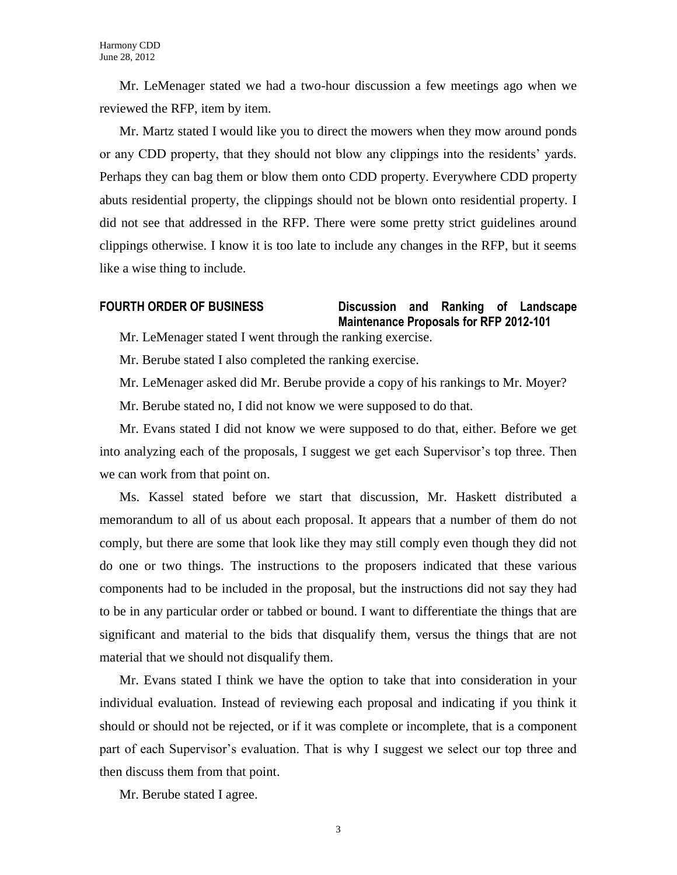Mr. LeMenager stated we had a two-hour discussion a few meetings ago when we reviewed the RFP, item by item.

Mr. Martz stated I would like you to direct the mowers when they mow around ponds or any CDD property, that they should not blow any clippings into the residents' yards. Perhaps they can bag them or blow them onto CDD property. Everywhere CDD property abuts residential property, the clippings should not be blown onto residential property. I did not see that addressed in the RFP. There were some pretty strict guidelines around clippings otherwise. I know it is too late to include any changes in the RFP, but it seems like a wise thing to include.

# **FOURTH ORDER OF BUSINESS Discussion and Ranking of Landscape Maintenance Proposals for RFP 2012-101**

Mr. LeMenager stated I went through the ranking exercise.

Mr. Berube stated I also completed the ranking exercise.

Mr. LeMenager asked did Mr. Berube provide a copy of his rankings to Mr. Moyer?

Mr. Berube stated no, I did not know we were supposed to do that.

Mr. Evans stated I did not know we were supposed to do that, either. Before we get into analyzing each of the proposals, I suggest we get each Supervisor's top three. Then we can work from that point on.

Ms. Kassel stated before we start that discussion, Mr. Haskett distributed a memorandum to all of us about each proposal. It appears that a number of them do not comply, but there are some that look like they may still comply even though they did not do one or two things. The instructions to the proposers indicated that these various components had to be included in the proposal, but the instructions did not say they had to be in any particular order or tabbed or bound. I want to differentiate the things that are significant and material to the bids that disqualify them, versus the things that are not material that we should not disqualify them.

Mr. Evans stated I think we have the option to take that into consideration in your individual evaluation. Instead of reviewing each proposal and indicating if you think it should or should not be rejected, or if it was complete or incomplete, that is a component part of each Supervisor's evaluation. That is why I suggest we select our top three and then discuss them from that point.

Mr. Berube stated I agree.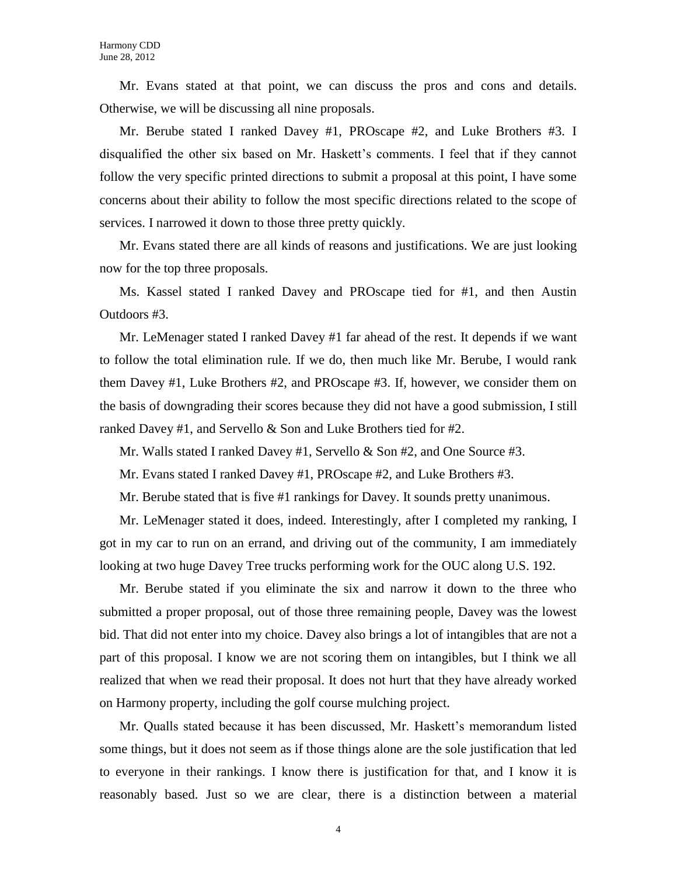Mr. Evans stated at that point, we can discuss the pros and cons and details. Otherwise, we will be discussing all nine proposals.

Mr. Berube stated I ranked Davey #1, PROscape #2, and Luke Brothers #3. I disqualified the other six based on Mr. Haskett's comments. I feel that if they cannot follow the very specific printed directions to submit a proposal at this point, I have some concerns about their ability to follow the most specific directions related to the scope of services. I narrowed it down to those three pretty quickly.

Mr. Evans stated there are all kinds of reasons and justifications. We are just looking now for the top three proposals.

Ms. Kassel stated I ranked Davey and PROscape tied for #1, and then Austin Outdoors #3.

Mr. LeMenager stated I ranked Davey #1 far ahead of the rest. It depends if we want to follow the total elimination rule. If we do, then much like Mr. Berube, I would rank them Davey #1, Luke Brothers #2, and PROscape #3. If, however, we consider them on the basis of downgrading their scores because they did not have a good submission, I still ranked Davey #1, and Servello & Son and Luke Brothers tied for #2.

Mr. Walls stated I ranked Davey #1, Servello & Son #2, and One Source #3.

Mr. Evans stated I ranked Davey #1, PROscape #2, and Luke Brothers #3.

Mr. Berube stated that is five #1 rankings for Davey. It sounds pretty unanimous.

Mr. LeMenager stated it does, indeed. Interestingly, after I completed my ranking, I got in my car to run on an errand, and driving out of the community, I am immediately looking at two huge Davey Tree trucks performing work for the OUC along U.S. 192.

Mr. Berube stated if you eliminate the six and narrow it down to the three who submitted a proper proposal, out of those three remaining people, Davey was the lowest bid. That did not enter into my choice. Davey also brings a lot of intangibles that are not a part of this proposal. I know we are not scoring them on intangibles, but I think we all realized that when we read their proposal. It does not hurt that they have already worked on Harmony property, including the golf course mulching project.

Mr. Qualls stated because it has been discussed, Mr. Haskett's memorandum listed some things, but it does not seem as if those things alone are the sole justification that led to everyone in their rankings. I know there is justification for that, and I know it is reasonably based. Just so we are clear, there is a distinction between a material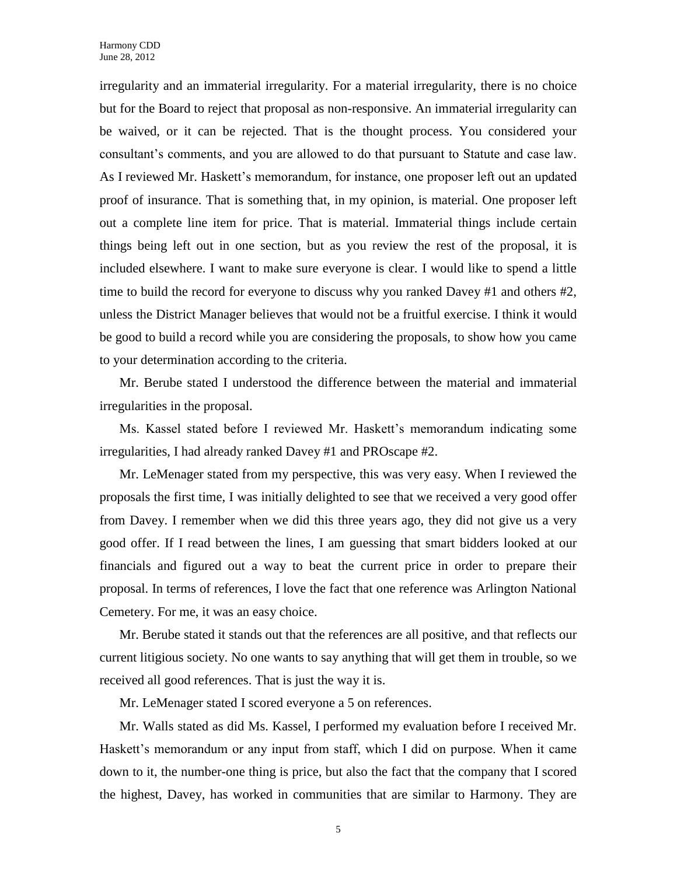irregularity and an immaterial irregularity. For a material irregularity, there is no choice but for the Board to reject that proposal as non-responsive. An immaterial irregularity can be waived, or it can be rejected. That is the thought process. You considered your consultant's comments, and you are allowed to do that pursuant to Statute and case law. As I reviewed Mr. Haskett's memorandum, for instance, one proposer left out an updated proof of insurance. That is something that, in my opinion, is material. One proposer left out a complete line item for price. That is material. Immaterial things include certain things being left out in one section, but as you review the rest of the proposal, it is included elsewhere. I want to make sure everyone is clear. I would like to spend a little time to build the record for everyone to discuss why you ranked Davey #1 and others #2, unless the District Manager believes that would not be a fruitful exercise. I think it would be good to build a record while you are considering the proposals, to show how you came to your determination according to the criteria.

Mr. Berube stated I understood the difference between the material and immaterial irregularities in the proposal.

Ms. Kassel stated before I reviewed Mr. Haskett's memorandum indicating some irregularities, I had already ranked Davey #1 and PROscape #2.

Mr. LeMenager stated from my perspective, this was very easy. When I reviewed the proposals the first time, I was initially delighted to see that we received a very good offer from Davey. I remember when we did this three years ago, they did not give us a very good offer. If I read between the lines, I am guessing that smart bidders looked at our financials and figured out a way to beat the current price in order to prepare their proposal. In terms of references, I love the fact that one reference was Arlington National Cemetery. For me, it was an easy choice.

Mr. Berube stated it stands out that the references are all positive, and that reflects our current litigious society. No one wants to say anything that will get them in trouble, so we received all good references. That is just the way it is.

Mr. LeMenager stated I scored everyone a 5 on references.

Mr. Walls stated as did Ms. Kassel, I performed my evaluation before I received Mr. Haskett's memorandum or any input from staff, which I did on purpose. When it came down to it, the number-one thing is price, but also the fact that the company that I scored the highest, Davey, has worked in communities that are similar to Harmony. They are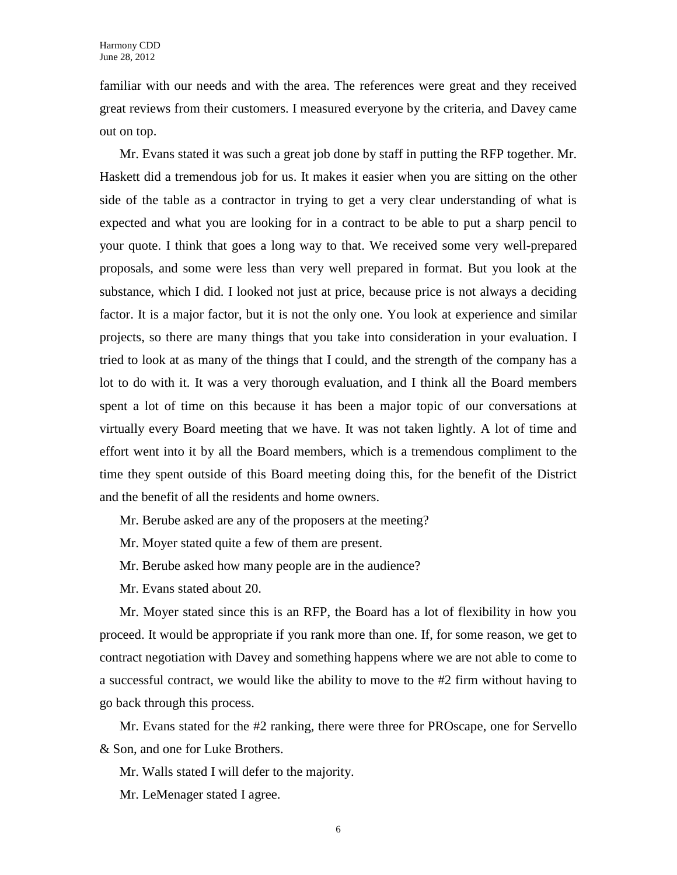familiar with our needs and with the area. The references were great and they received great reviews from their customers. I measured everyone by the criteria, and Davey came out on top.

Mr. Evans stated it was such a great job done by staff in putting the RFP together. Mr. Haskett did a tremendous job for us. It makes it easier when you are sitting on the other side of the table as a contractor in trying to get a very clear understanding of what is expected and what you are looking for in a contract to be able to put a sharp pencil to your quote. I think that goes a long way to that. We received some very well-prepared proposals, and some were less than very well prepared in format. But you look at the substance, which I did. I looked not just at price, because price is not always a deciding factor. It is a major factor, but it is not the only one. You look at experience and similar projects, so there are many things that you take into consideration in your evaluation. I tried to look at as many of the things that I could, and the strength of the company has a lot to do with it. It was a very thorough evaluation, and I think all the Board members spent a lot of time on this because it has been a major topic of our conversations at virtually every Board meeting that we have. It was not taken lightly. A lot of time and effort went into it by all the Board members, which is a tremendous compliment to the time they spent outside of this Board meeting doing this, for the benefit of the District and the benefit of all the residents and home owners.

Mr. Berube asked are any of the proposers at the meeting?

Mr. Moyer stated quite a few of them are present.

Mr. Berube asked how many people are in the audience?

Mr. Evans stated about 20.

Mr. Moyer stated since this is an RFP, the Board has a lot of flexibility in how you proceed. It would be appropriate if you rank more than one. If, for some reason, we get to contract negotiation with Davey and something happens where we are not able to come to a successful contract, we would like the ability to move to the #2 firm without having to go back through this process.

Mr. Evans stated for the #2 ranking, there were three for PROscape, one for Servello & Son, and one for Luke Brothers.

Mr. Walls stated I will defer to the majority.

Mr. LeMenager stated I agree.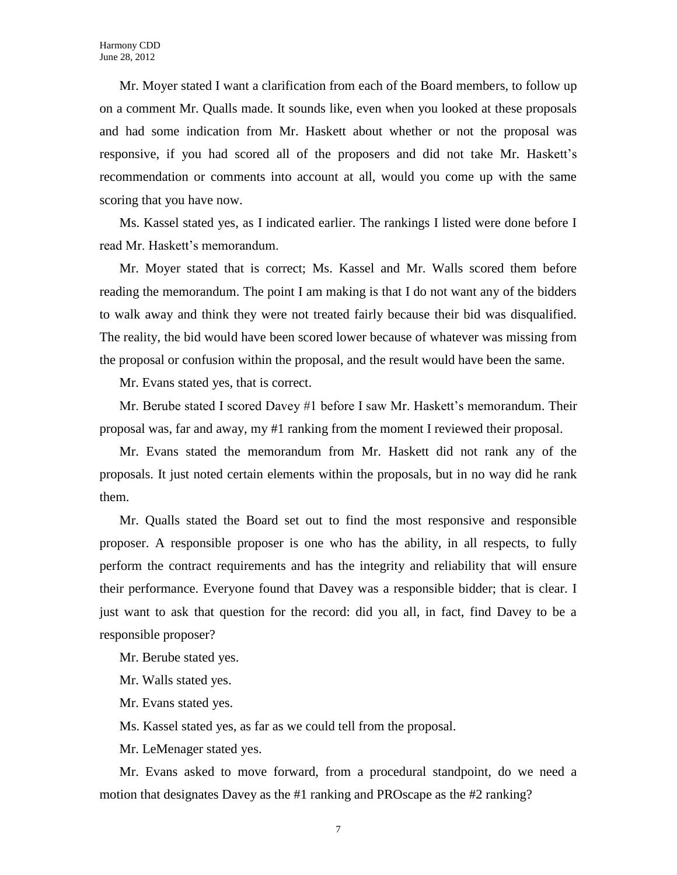Mr. Moyer stated I want a clarification from each of the Board members, to follow up on a comment Mr. Qualls made. It sounds like, even when you looked at these proposals and had some indication from Mr. Haskett about whether or not the proposal was responsive, if you had scored all of the proposers and did not take Mr. Haskett's recommendation or comments into account at all, would you come up with the same scoring that you have now.

Ms. Kassel stated yes, as I indicated earlier. The rankings I listed were done before I read Mr. Haskett's memorandum.

Mr. Moyer stated that is correct; Ms. Kassel and Mr. Walls scored them before reading the memorandum. The point I am making is that I do not want any of the bidders to walk away and think they were not treated fairly because their bid was disqualified. The reality, the bid would have been scored lower because of whatever was missing from the proposal or confusion within the proposal, and the result would have been the same.

Mr. Evans stated yes, that is correct.

Mr. Berube stated I scored Davey #1 before I saw Mr. Haskett's memorandum. Their proposal was, far and away, my #1 ranking from the moment I reviewed their proposal.

Mr. Evans stated the memorandum from Mr. Haskett did not rank any of the proposals. It just noted certain elements within the proposals, but in no way did he rank them.

Mr. Qualls stated the Board set out to find the most responsive and responsible proposer. A responsible proposer is one who has the ability, in all respects, to fully perform the contract requirements and has the integrity and reliability that will ensure their performance. Everyone found that Davey was a responsible bidder; that is clear. I just want to ask that question for the record: did you all, in fact, find Davey to be a responsible proposer?

Mr. Berube stated yes.

Mr. Walls stated yes.

Mr. Evans stated yes.

Ms. Kassel stated yes, as far as we could tell from the proposal.

Mr. LeMenager stated yes.

Mr. Evans asked to move forward, from a procedural standpoint, do we need a motion that designates Davey as the #1 ranking and PROscape as the #2 ranking?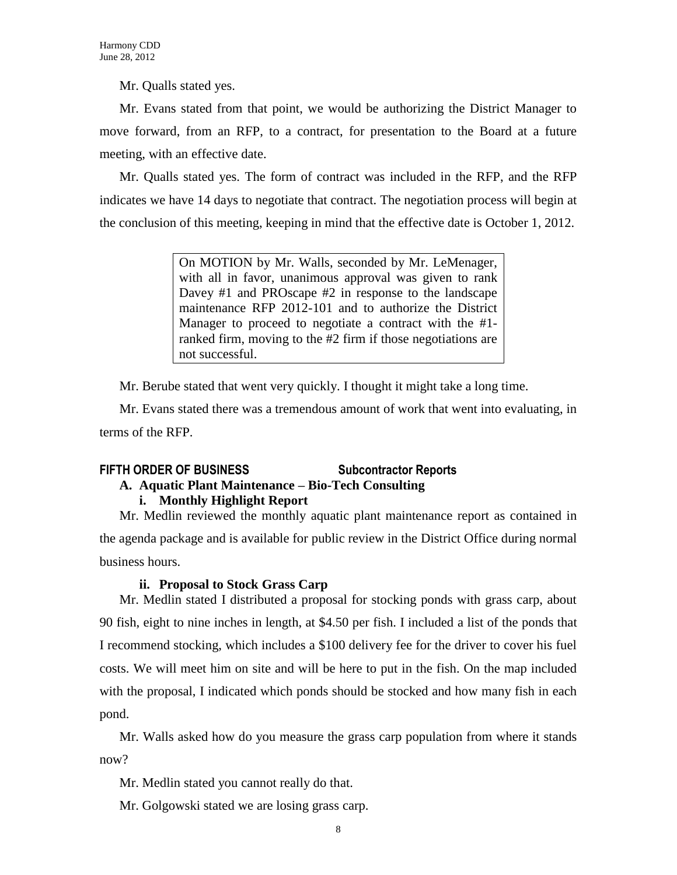Mr. Qualls stated yes.

Mr. Evans stated from that point, we would be authorizing the District Manager to move forward, from an RFP, to a contract, for presentation to the Board at a future meeting, with an effective date.

Mr. Qualls stated yes. The form of contract was included in the RFP, and the RFP indicates we have 14 days to negotiate that contract. The negotiation process will begin at the conclusion of this meeting, keeping in mind that the effective date is October 1, 2012.

> On MOTION by Mr. Walls, seconded by Mr. LeMenager, with all in favor, unanimous approval was given to rank Davey #1 and PROscape #2 in response to the landscape maintenance RFP 2012-101 and to authorize the District Manager to proceed to negotiate a contract with the #1 ranked firm, moving to the #2 firm if those negotiations are not successful.

Mr. Berube stated that went very quickly. I thought it might take a long time.

Mr. Evans stated there was a tremendous amount of work that went into evaluating, in terms of the RFP.

# **FIFTH ORDER OF BUSINESS Subcontractor Reports**

# **A. Aquatic Plant Maintenance – Bio-Tech Consulting**

# **i. Monthly Highlight Report**

Mr. Medlin reviewed the monthly aquatic plant maintenance report as contained in the agenda package and is available for public review in the District Office during normal business hours.

# **ii. Proposal to Stock Grass Carp**

Mr. Medlin stated I distributed a proposal for stocking ponds with grass carp, about 90 fish, eight to nine inches in length, at \$4.50 per fish. I included a list of the ponds that I recommend stocking, which includes a \$100 delivery fee for the driver to cover his fuel costs. We will meet him on site and will be here to put in the fish. On the map included with the proposal, I indicated which ponds should be stocked and how many fish in each pond.

Mr. Walls asked how do you measure the grass carp population from where it stands now?

Mr. Medlin stated you cannot really do that.

Mr. Golgowski stated we are losing grass carp.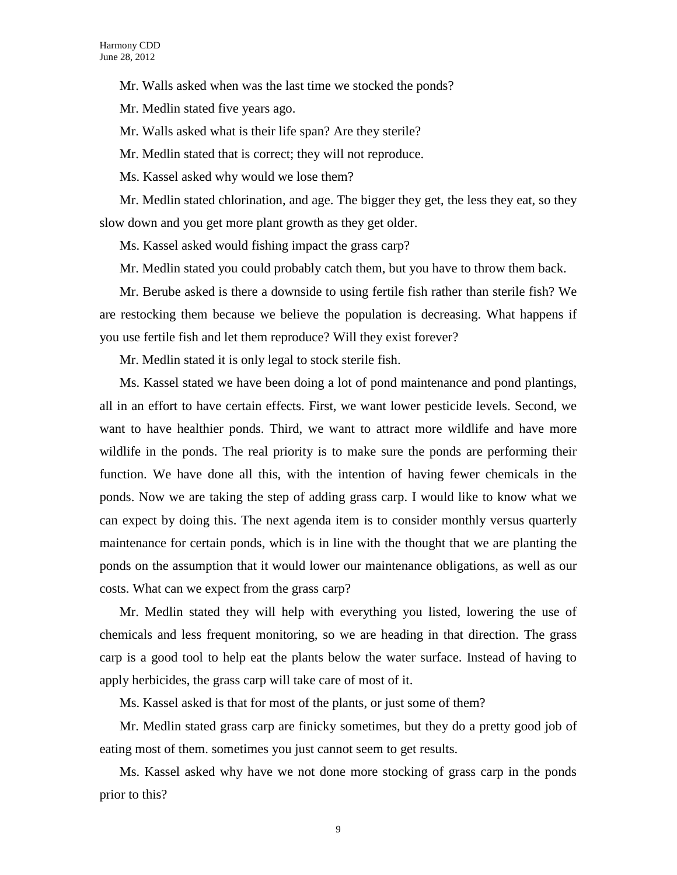Mr. Walls asked when was the last time we stocked the ponds?

Mr. Medlin stated five years ago.

Mr. Walls asked what is their life span? Are they sterile?

Mr. Medlin stated that is correct; they will not reproduce.

Ms. Kassel asked why would we lose them?

Mr. Medlin stated chlorination, and age. The bigger they get, the less they eat, so they slow down and you get more plant growth as they get older.

Ms. Kassel asked would fishing impact the grass carp?

Mr. Medlin stated you could probably catch them, but you have to throw them back.

Mr. Berube asked is there a downside to using fertile fish rather than sterile fish? We are restocking them because we believe the population is decreasing. What happens if you use fertile fish and let them reproduce? Will they exist forever?

Mr. Medlin stated it is only legal to stock sterile fish.

Ms. Kassel stated we have been doing a lot of pond maintenance and pond plantings, all in an effort to have certain effects. First, we want lower pesticide levels. Second, we want to have healthier ponds. Third, we want to attract more wildlife and have more wildlife in the ponds. The real priority is to make sure the ponds are performing their function. We have done all this, with the intention of having fewer chemicals in the ponds. Now we are taking the step of adding grass carp. I would like to know what we can expect by doing this. The next agenda item is to consider monthly versus quarterly maintenance for certain ponds, which is in line with the thought that we are planting the ponds on the assumption that it would lower our maintenance obligations, as well as our costs. What can we expect from the grass carp?

Mr. Medlin stated they will help with everything you listed, lowering the use of chemicals and less frequent monitoring, so we are heading in that direction. The grass carp is a good tool to help eat the plants below the water surface. Instead of having to apply herbicides, the grass carp will take care of most of it.

Ms. Kassel asked is that for most of the plants, or just some of them?

Mr. Medlin stated grass carp are finicky sometimes, but they do a pretty good job of eating most of them. sometimes you just cannot seem to get results.

Ms. Kassel asked why have we not done more stocking of grass carp in the ponds prior to this?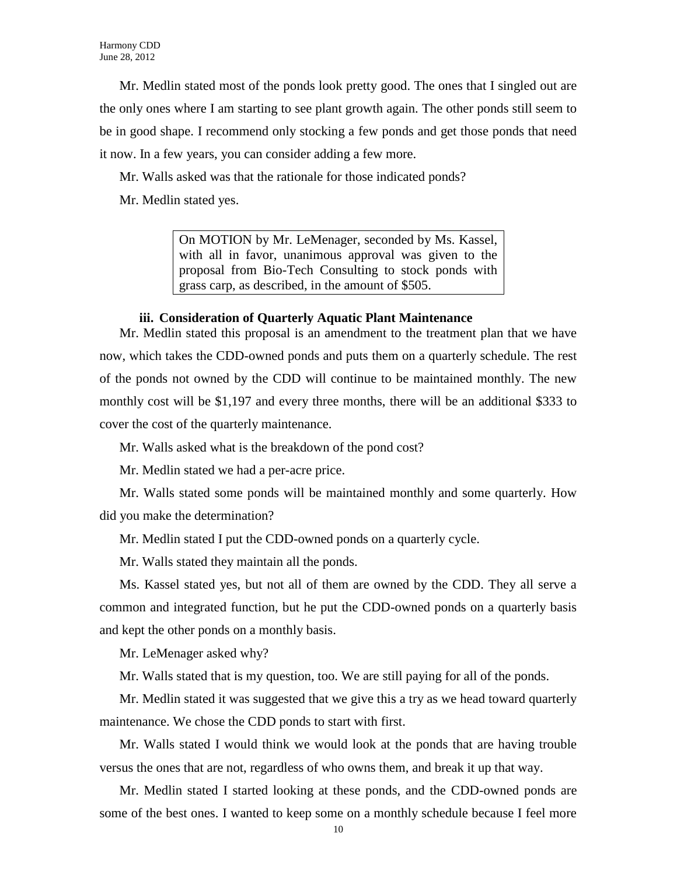Mr. Medlin stated most of the ponds look pretty good. The ones that I singled out are the only ones where I am starting to see plant growth again. The other ponds still seem to be in good shape. I recommend only stocking a few ponds and get those ponds that need it now. In a few years, you can consider adding a few more.

Mr. Walls asked was that the rationale for those indicated ponds?

Mr. Medlin stated yes.

On MOTION by Mr. LeMenager, seconded by Ms. Kassel, with all in favor, unanimous approval was given to the proposal from Bio-Tech Consulting to stock ponds with grass carp, as described, in the amount of \$505.

# **iii. Consideration of Quarterly Aquatic Plant Maintenance**

Mr. Medlin stated this proposal is an amendment to the treatment plan that we have now, which takes the CDD-owned ponds and puts them on a quarterly schedule. The rest of the ponds not owned by the CDD will continue to be maintained monthly. The new monthly cost will be \$1,197 and every three months, there will be an additional \$333 to cover the cost of the quarterly maintenance.

Mr. Walls asked what is the breakdown of the pond cost?

Mr. Medlin stated we had a per-acre price.

Mr. Walls stated some ponds will be maintained monthly and some quarterly. How did you make the determination?

Mr. Medlin stated I put the CDD-owned ponds on a quarterly cycle.

Mr. Walls stated they maintain all the ponds.

Ms. Kassel stated yes, but not all of them are owned by the CDD. They all serve a common and integrated function, but he put the CDD-owned ponds on a quarterly basis and kept the other ponds on a monthly basis.

Mr. LeMenager asked why?

Mr. Walls stated that is my question, too. We are still paying for all of the ponds.

Mr. Medlin stated it was suggested that we give this a try as we head toward quarterly maintenance. We chose the CDD ponds to start with first.

Mr. Walls stated I would think we would look at the ponds that are having trouble versus the ones that are not, regardless of who owns them, and break it up that way.

Mr. Medlin stated I started looking at these ponds, and the CDD-owned ponds are some of the best ones. I wanted to keep some on a monthly schedule because I feel more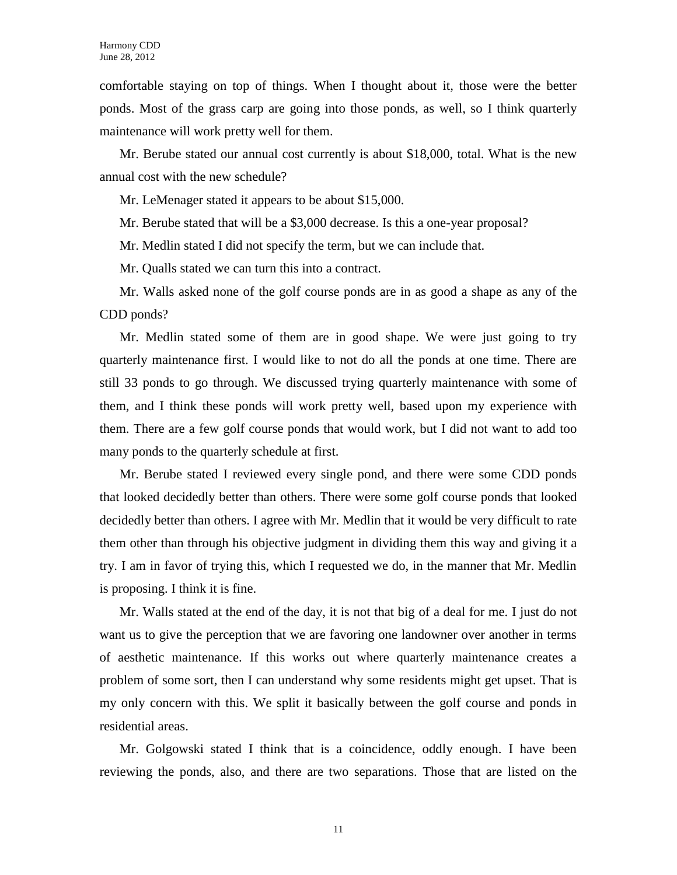comfortable staying on top of things. When I thought about it, those were the better ponds. Most of the grass carp are going into those ponds, as well, so I think quarterly maintenance will work pretty well for them.

Mr. Berube stated our annual cost currently is about \$18,000, total. What is the new annual cost with the new schedule?

Mr. LeMenager stated it appears to be about \$15,000.

Mr. Berube stated that will be a \$3,000 decrease. Is this a one-year proposal?

Mr. Medlin stated I did not specify the term, but we can include that.

Mr. Qualls stated we can turn this into a contract.

Mr. Walls asked none of the golf course ponds are in as good a shape as any of the CDD ponds?

Mr. Medlin stated some of them are in good shape. We were just going to try quarterly maintenance first. I would like to not do all the ponds at one time. There are still 33 ponds to go through. We discussed trying quarterly maintenance with some of them, and I think these ponds will work pretty well, based upon my experience with them. There are a few golf course ponds that would work, but I did not want to add too many ponds to the quarterly schedule at first.

Mr. Berube stated I reviewed every single pond, and there were some CDD ponds that looked decidedly better than others. There were some golf course ponds that looked decidedly better than others. I agree with Mr. Medlin that it would be very difficult to rate them other than through his objective judgment in dividing them this way and giving it a try. I am in favor of trying this, which I requested we do, in the manner that Mr. Medlin is proposing. I think it is fine.

Mr. Walls stated at the end of the day, it is not that big of a deal for me. I just do not want us to give the perception that we are favoring one landowner over another in terms of aesthetic maintenance. If this works out where quarterly maintenance creates a problem of some sort, then I can understand why some residents might get upset. That is my only concern with this. We split it basically between the golf course and ponds in residential areas.

Mr. Golgowski stated I think that is a coincidence, oddly enough. I have been reviewing the ponds, also, and there are two separations. Those that are listed on the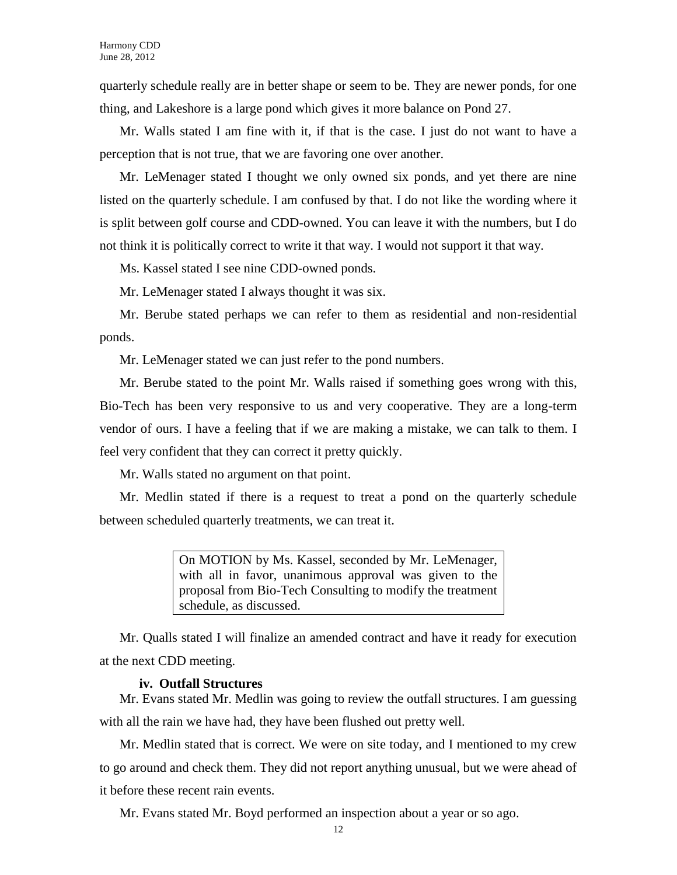quarterly schedule really are in better shape or seem to be. They are newer ponds, for one thing, and Lakeshore is a large pond which gives it more balance on Pond 27.

Mr. Walls stated I am fine with it, if that is the case. I just do not want to have a perception that is not true, that we are favoring one over another.

Mr. LeMenager stated I thought we only owned six ponds, and yet there are nine listed on the quarterly schedule. I am confused by that. I do not like the wording where it is split between golf course and CDD-owned. You can leave it with the numbers, but I do not think it is politically correct to write it that way. I would not support it that way.

Ms. Kassel stated I see nine CDD-owned ponds.

Mr. LeMenager stated I always thought it was six.

Mr. Berube stated perhaps we can refer to them as residential and non-residential ponds.

Mr. LeMenager stated we can just refer to the pond numbers.

Mr. Berube stated to the point Mr. Walls raised if something goes wrong with this, Bio-Tech has been very responsive to us and very cooperative. They are a long-term vendor of ours. I have a feeling that if we are making a mistake, we can talk to them. I feel very confident that they can correct it pretty quickly.

Mr. Walls stated no argument on that point.

Mr. Medlin stated if there is a request to treat a pond on the quarterly schedule between scheduled quarterly treatments, we can treat it.

> On MOTION by Ms. Kassel, seconded by Mr. LeMenager, with all in favor, unanimous approval was given to the proposal from Bio-Tech Consulting to modify the treatment schedule, as discussed.

Mr. Qualls stated I will finalize an amended contract and have it ready for execution at the next CDD meeting.

## **iv. Outfall Structures**

Mr. Evans stated Mr. Medlin was going to review the outfall structures. I am guessing with all the rain we have had, they have been flushed out pretty well.

Mr. Medlin stated that is correct. We were on site today, and I mentioned to my crew to go around and check them. They did not report anything unusual, but we were ahead of it before these recent rain events.

Mr. Evans stated Mr. Boyd performed an inspection about a year or so ago.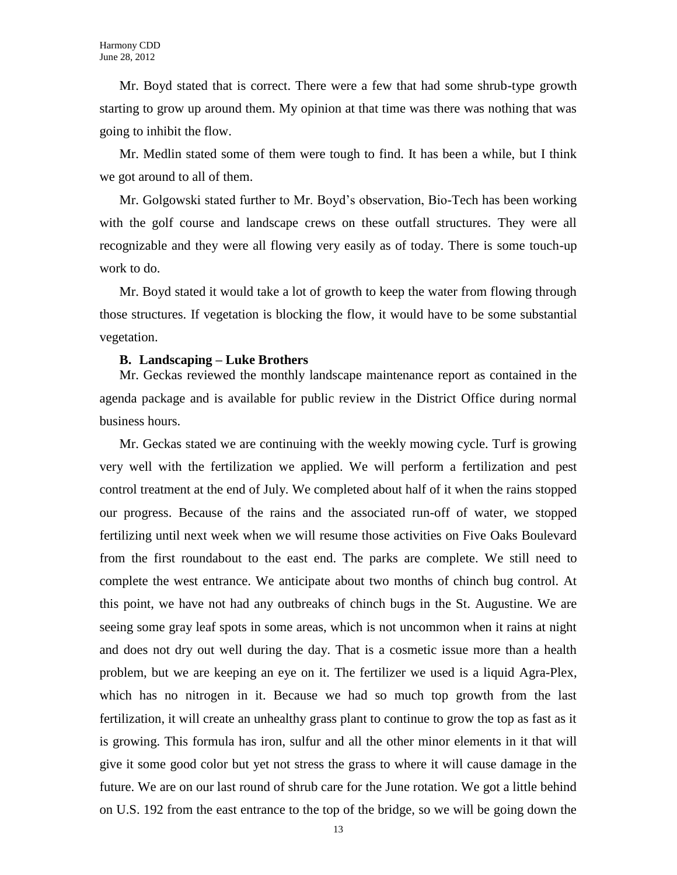Mr. Boyd stated that is correct. There were a few that had some shrub-type growth starting to grow up around them. My opinion at that time was there was nothing that was going to inhibit the flow.

Mr. Medlin stated some of them were tough to find. It has been a while, but I think we got around to all of them.

Mr. Golgowski stated further to Mr. Boyd's observation, Bio-Tech has been working with the golf course and landscape crews on these outfall structures. They were all recognizable and they were all flowing very easily as of today. There is some touch-up work to do.

Mr. Boyd stated it would take a lot of growth to keep the water from flowing through those structures. If vegetation is blocking the flow, it would have to be some substantial vegetation.

#### **B. Landscaping – Luke Brothers**

Mr. Geckas reviewed the monthly landscape maintenance report as contained in the agenda package and is available for public review in the District Office during normal business hours.

Mr. Geckas stated we are continuing with the weekly mowing cycle. Turf is growing very well with the fertilization we applied. We will perform a fertilization and pest control treatment at the end of July. We completed about half of it when the rains stopped our progress. Because of the rains and the associated run-off of water, we stopped fertilizing until next week when we will resume those activities on Five Oaks Boulevard from the first roundabout to the east end. The parks are complete. We still need to complete the west entrance. We anticipate about two months of chinch bug control. At this point, we have not had any outbreaks of chinch bugs in the St. Augustine. We are seeing some gray leaf spots in some areas, which is not uncommon when it rains at night and does not dry out well during the day. That is a cosmetic issue more than a health problem, but we are keeping an eye on it. The fertilizer we used is a liquid Agra-Plex, which has no nitrogen in it. Because we had so much top growth from the last fertilization, it will create an unhealthy grass plant to continue to grow the top as fast as it is growing. This formula has iron, sulfur and all the other minor elements in it that will give it some good color but yet not stress the grass to where it will cause damage in the future. We are on our last round of shrub care for the June rotation. We got a little behind on U.S. 192 from the east entrance to the top of the bridge, so we will be going down the

13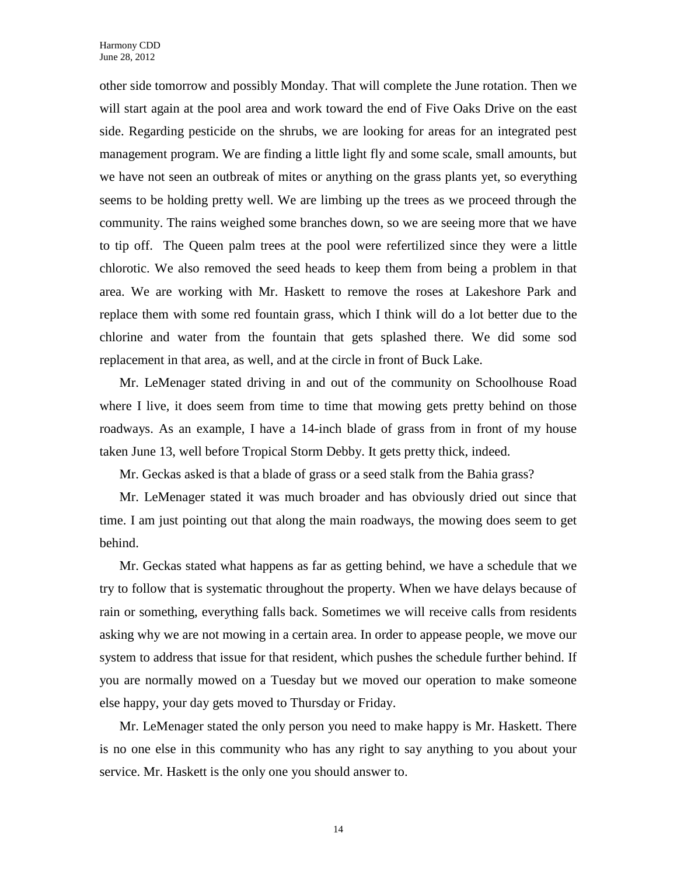other side tomorrow and possibly Monday. That will complete the June rotation. Then we will start again at the pool area and work toward the end of Five Oaks Drive on the east side. Regarding pesticide on the shrubs, we are looking for areas for an integrated pest management program. We are finding a little light fly and some scale, small amounts, but we have not seen an outbreak of mites or anything on the grass plants yet, so everything seems to be holding pretty well. We are limbing up the trees as we proceed through the community. The rains weighed some branches down, so we are seeing more that we have to tip off. The Queen palm trees at the pool were refertilized since they were a little chlorotic. We also removed the seed heads to keep them from being a problem in that area. We are working with Mr. Haskett to remove the roses at Lakeshore Park and replace them with some red fountain grass, which I think will do a lot better due to the chlorine and water from the fountain that gets splashed there. We did some sod replacement in that area, as well, and at the circle in front of Buck Lake.

Mr. LeMenager stated driving in and out of the community on Schoolhouse Road where I live, it does seem from time to time that mowing gets pretty behind on those roadways. As an example, I have a 14-inch blade of grass from in front of my house taken June 13, well before Tropical Storm Debby. It gets pretty thick, indeed.

Mr. Geckas asked is that a blade of grass or a seed stalk from the Bahia grass?

Mr. LeMenager stated it was much broader and has obviously dried out since that time. I am just pointing out that along the main roadways, the mowing does seem to get behind.

Mr. Geckas stated what happens as far as getting behind, we have a schedule that we try to follow that is systematic throughout the property. When we have delays because of rain or something, everything falls back. Sometimes we will receive calls from residents asking why we are not mowing in a certain area. In order to appease people, we move our system to address that issue for that resident, which pushes the schedule further behind. If you are normally mowed on a Tuesday but we moved our operation to make someone else happy, your day gets moved to Thursday or Friday.

Mr. LeMenager stated the only person you need to make happy is Mr. Haskett. There is no one else in this community who has any right to say anything to you about your service. Mr. Haskett is the only one you should answer to.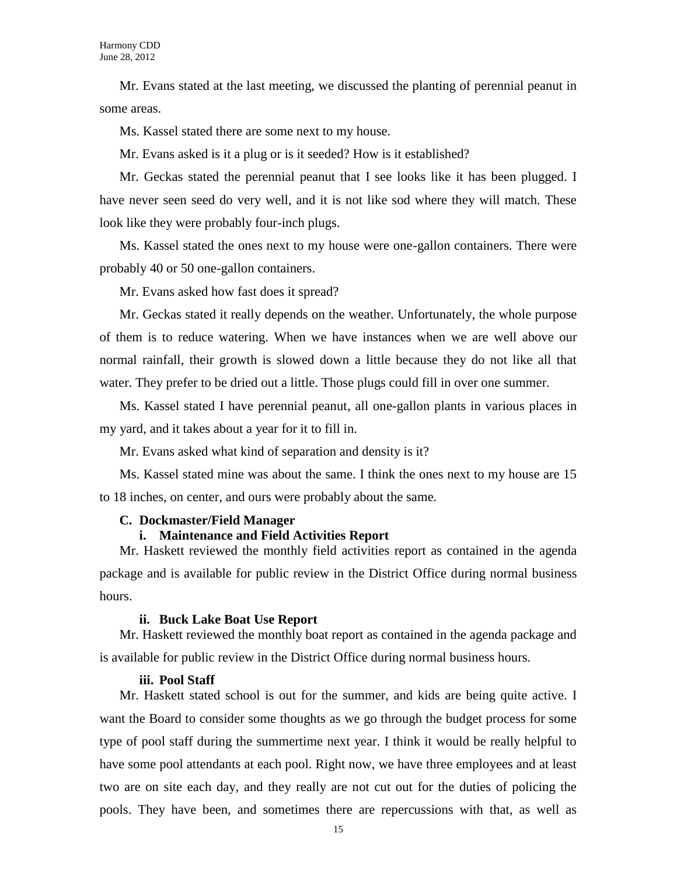Mr. Evans stated at the last meeting, we discussed the planting of perennial peanut in some areas.

Ms. Kassel stated there are some next to my house.

Mr. Evans asked is it a plug or is it seeded? How is it established?

Mr. Geckas stated the perennial peanut that I see looks like it has been plugged. I have never seen seed do very well, and it is not like sod where they will match. These look like they were probably four-inch plugs.

Ms. Kassel stated the ones next to my house were one-gallon containers. There were probably 40 or 50 one-gallon containers.

Mr. Evans asked how fast does it spread?

Mr. Geckas stated it really depends on the weather. Unfortunately, the whole purpose of them is to reduce watering. When we have instances when we are well above our normal rainfall, their growth is slowed down a little because they do not like all that water. They prefer to be dried out a little. Those plugs could fill in over one summer.

Ms. Kassel stated I have perennial peanut, all one-gallon plants in various places in my yard, and it takes about a year for it to fill in.

Mr. Evans asked what kind of separation and density is it?

Ms. Kassel stated mine was about the same. I think the ones next to my house are 15 to 18 inches, on center, and ours were probably about the same.

### **C. Dockmaster/Field Manager**

# **i. Maintenance and Field Activities Report**

Mr. Haskett reviewed the monthly field activities report as contained in the agenda package and is available for public review in the District Office during normal business hours.

### **ii. Buck Lake Boat Use Report**

Mr. Haskett reviewed the monthly boat report as contained in the agenda package and is available for public review in the District Office during normal business hours.

### **iii. Pool Staff**

Mr. Haskett stated school is out for the summer, and kids are being quite active. I want the Board to consider some thoughts as we go through the budget process for some type of pool staff during the summertime next year. I think it would be really helpful to have some pool attendants at each pool. Right now, we have three employees and at least two are on site each day, and they really are not cut out for the duties of policing the pools. They have been, and sometimes there are repercussions with that, as well as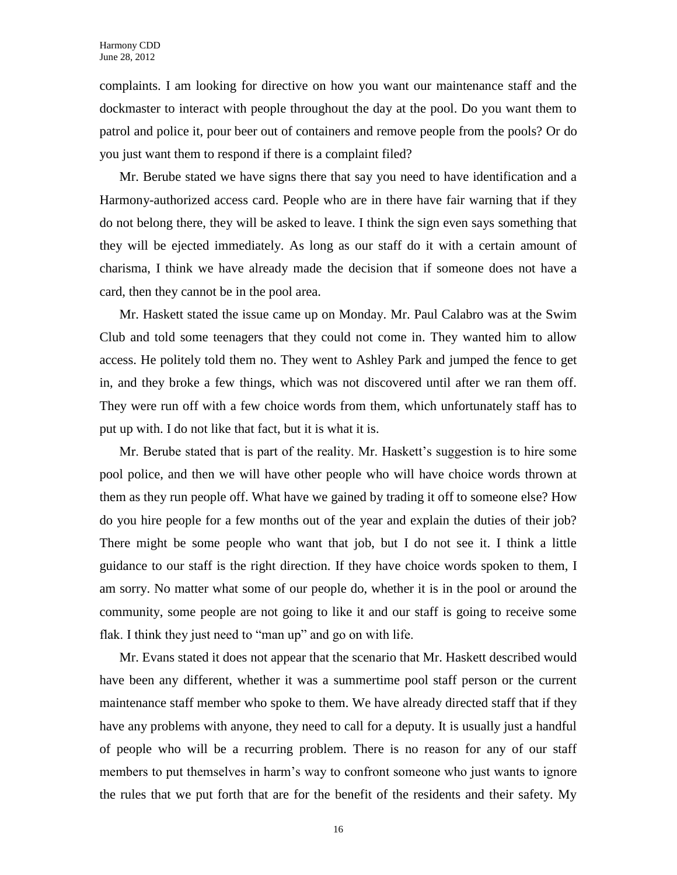complaints. I am looking for directive on how you want our maintenance staff and the dockmaster to interact with people throughout the day at the pool. Do you want them to patrol and police it, pour beer out of containers and remove people from the pools? Or do you just want them to respond if there is a complaint filed?

Mr. Berube stated we have signs there that say you need to have identification and a Harmony-authorized access card. People who are in there have fair warning that if they do not belong there, they will be asked to leave. I think the sign even says something that they will be ejected immediately. As long as our staff do it with a certain amount of charisma, I think we have already made the decision that if someone does not have a card, then they cannot be in the pool area.

Mr. Haskett stated the issue came up on Monday. Mr. Paul Calabro was at the Swim Club and told some teenagers that they could not come in. They wanted him to allow access. He politely told them no. They went to Ashley Park and jumped the fence to get in, and they broke a few things, which was not discovered until after we ran them off. They were run off with a few choice words from them, which unfortunately staff has to put up with. I do not like that fact, but it is what it is.

Mr. Berube stated that is part of the reality. Mr. Haskett's suggestion is to hire some pool police, and then we will have other people who will have choice words thrown at them as they run people off. What have we gained by trading it off to someone else? How do you hire people for a few months out of the year and explain the duties of their job? There might be some people who want that job, but I do not see it. I think a little guidance to our staff is the right direction. If they have choice words spoken to them, I am sorry. No matter what some of our people do, whether it is in the pool or around the community, some people are not going to like it and our staff is going to receive some flak. I think they just need to "man up" and go on with life.

Mr. Evans stated it does not appear that the scenario that Mr. Haskett described would have been any different, whether it was a summertime pool staff person or the current maintenance staff member who spoke to them. We have already directed staff that if they have any problems with anyone, they need to call for a deputy. It is usually just a handful of people who will be a recurring problem. There is no reason for any of our staff members to put themselves in harm's way to confront someone who just wants to ignore the rules that we put forth that are for the benefit of the residents and their safety. My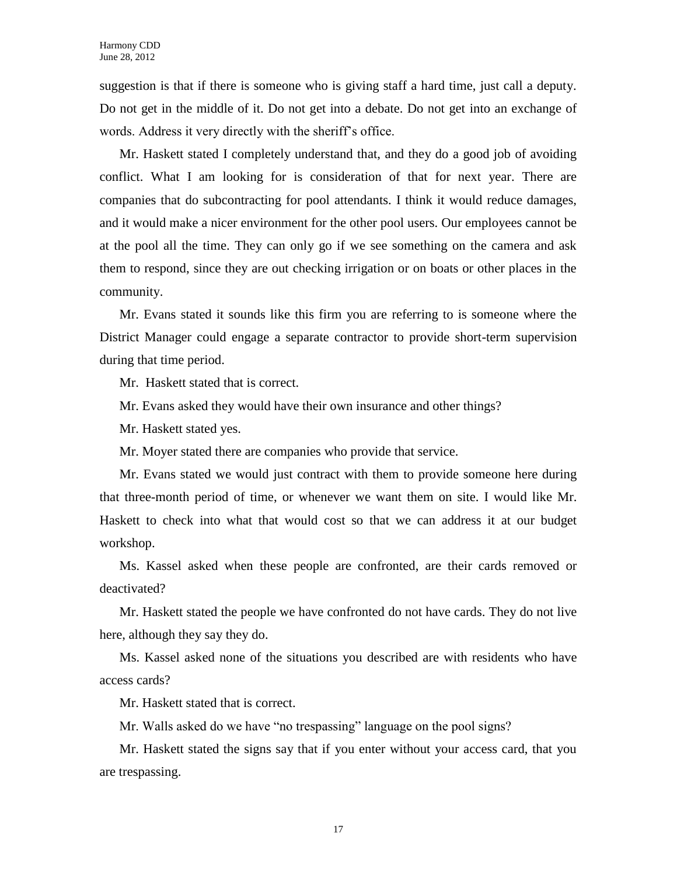suggestion is that if there is someone who is giving staff a hard time, just call a deputy. Do not get in the middle of it. Do not get into a debate. Do not get into an exchange of words. Address it very directly with the sheriff's office.

Mr. Haskett stated I completely understand that, and they do a good job of avoiding conflict. What I am looking for is consideration of that for next year. There are companies that do subcontracting for pool attendants. I think it would reduce damages, and it would make a nicer environment for the other pool users. Our employees cannot be at the pool all the time. They can only go if we see something on the camera and ask them to respond, since they are out checking irrigation or on boats or other places in the community.

Mr. Evans stated it sounds like this firm you are referring to is someone where the District Manager could engage a separate contractor to provide short-term supervision during that time period.

Mr. Haskett stated that is correct.

Mr. Evans asked they would have their own insurance and other things?

Mr. Haskett stated yes.

Mr. Moyer stated there are companies who provide that service.

Mr. Evans stated we would just contract with them to provide someone here during that three-month period of time, or whenever we want them on site. I would like Mr. Haskett to check into what that would cost so that we can address it at our budget workshop.

Ms. Kassel asked when these people are confronted, are their cards removed or deactivated?

Mr. Haskett stated the people we have confronted do not have cards. They do not live here, although they say they do.

Ms. Kassel asked none of the situations you described are with residents who have access cards?

Mr. Haskett stated that is correct.

Mr. Walls asked do we have "no trespassing" language on the pool signs?

Mr. Haskett stated the signs say that if you enter without your access card, that you are trespassing.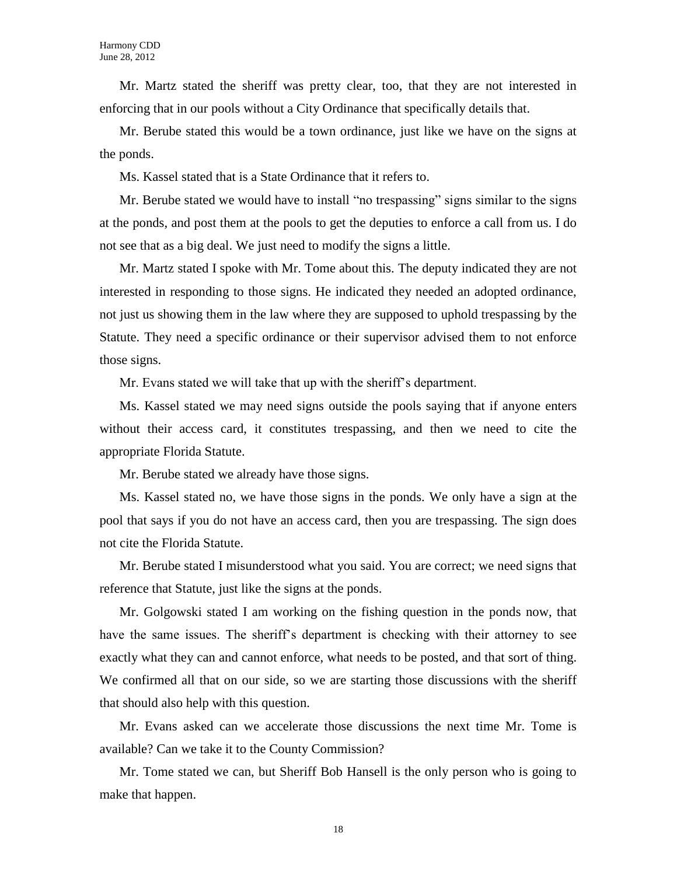Mr. Martz stated the sheriff was pretty clear, too, that they are not interested in enforcing that in our pools without a City Ordinance that specifically details that.

Mr. Berube stated this would be a town ordinance, just like we have on the signs at the ponds.

Ms. Kassel stated that is a State Ordinance that it refers to.

Mr. Berube stated we would have to install "no trespassing" signs similar to the signs at the ponds, and post them at the pools to get the deputies to enforce a call from us. I do not see that as a big deal. We just need to modify the signs a little.

Mr. Martz stated I spoke with Mr. Tome about this. The deputy indicated they are not interested in responding to those signs. He indicated they needed an adopted ordinance, not just us showing them in the law where they are supposed to uphold trespassing by the Statute. They need a specific ordinance or their supervisor advised them to not enforce those signs.

Mr. Evans stated we will take that up with the sheriff's department.

Ms. Kassel stated we may need signs outside the pools saying that if anyone enters without their access card, it constitutes trespassing, and then we need to cite the appropriate Florida Statute.

Mr. Berube stated we already have those signs.

Ms. Kassel stated no, we have those signs in the ponds. We only have a sign at the pool that says if you do not have an access card, then you are trespassing. The sign does not cite the Florida Statute.

Mr. Berube stated I misunderstood what you said. You are correct; we need signs that reference that Statute, just like the signs at the ponds.

Mr. Golgowski stated I am working on the fishing question in the ponds now, that have the same issues. The sheriff's department is checking with their attorney to see exactly what they can and cannot enforce, what needs to be posted, and that sort of thing. We confirmed all that on our side, so we are starting those discussions with the sheriff that should also help with this question.

Mr. Evans asked can we accelerate those discussions the next time Mr. Tome is available? Can we take it to the County Commission?

Mr. Tome stated we can, but Sheriff Bob Hansell is the only person who is going to make that happen.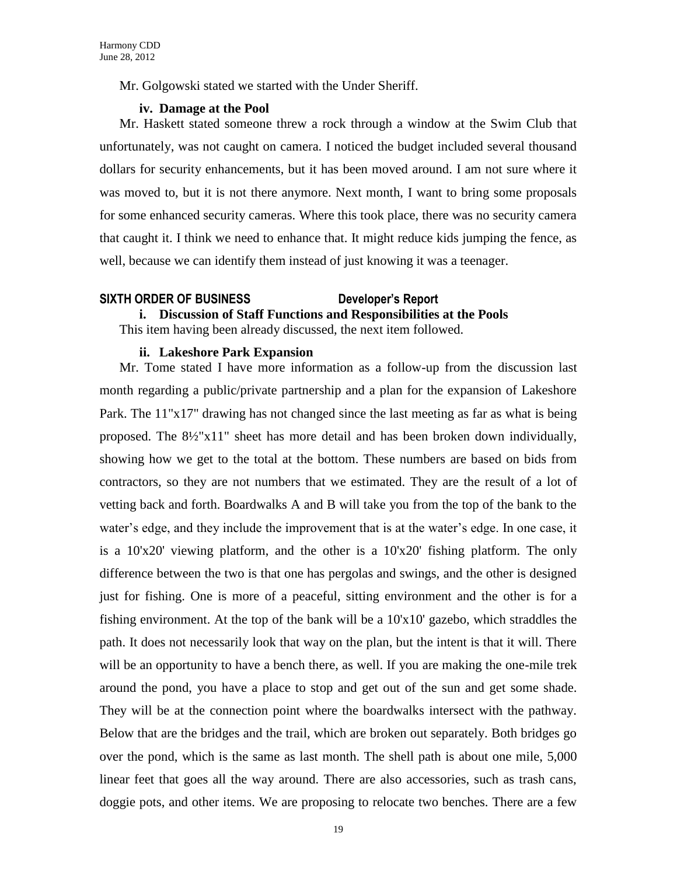Mr. Golgowski stated we started with the Under Sheriff.

# **iv. Damage at the Pool**

Mr. Haskett stated someone threw a rock through a window at the Swim Club that unfortunately, was not caught on camera. I noticed the budget included several thousand dollars for security enhancements, but it has been moved around. I am not sure where it was moved to, but it is not there anymore. Next month, I want to bring some proposals for some enhanced security cameras. Where this took place, there was no security camera that caught it. I think we need to enhance that. It might reduce kids jumping the fence, as well, because we can identify them instead of just knowing it was a teenager.

# **SIXTH ORDER OF BUSINESS Developer's Report**

**i. Discussion of Staff Functions and Responsibilities at the Pools**

This item having been already discussed, the next item followed.

# **ii. Lakeshore Park Expansion**

Mr. Tome stated I have more information as a follow-up from the discussion last month regarding a public/private partnership and a plan for the expansion of Lakeshore Park. The 11"x17" drawing has not changed since the last meeting as far as what is being proposed. The 8½"x11" sheet has more detail and has been broken down individually, showing how we get to the total at the bottom. These numbers are based on bids from contractors, so they are not numbers that we estimated. They are the result of a lot of vetting back and forth. Boardwalks A and B will take you from the top of the bank to the water's edge, and they include the improvement that is at the water's edge. In one case, it is a 10'x20' viewing platform, and the other is a 10'x20' fishing platform. The only difference between the two is that one has pergolas and swings, and the other is designed just for fishing. One is more of a peaceful, sitting environment and the other is for a fishing environment. At the top of the bank will be a 10'x10' gazebo, which straddles the path. It does not necessarily look that way on the plan, but the intent is that it will. There will be an opportunity to have a bench there, as well. If you are making the one-mile trek around the pond, you have a place to stop and get out of the sun and get some shade. They will be at the connection point where the boardwalks intersect with the pathway. Below that are the bridges and the trail, which are broken out separately. Both bridges go over the pond, which is the same as last month. The shell path is about one mile, 5,000 linear feet that goes all the way around. There are also accessories, such as trash cans, doggie pots, and other items. We are proposing to relocate two benches. There are a few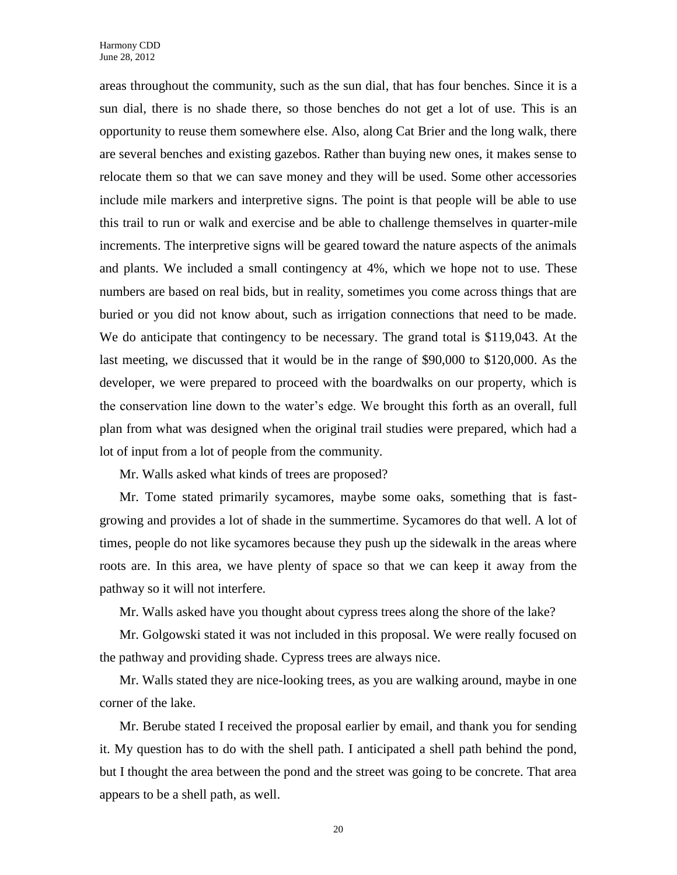areas throughout the community, such as the sun dial, that has four benches. Since it is a sun dial, there is no shade there, so those benches do not get a lot of use. This is an opportunity to reuse them somewhere else. Also, along Cat Brier and the long walk, there are several benches and existing gazebos. Rather than buying new ones, it makes sense to relocate them so that we can save money and they will be used. Some other accessories include mile markers and interpretive signs. The point is that people will be able to use this trail to run or walk and exercise and be able to challenge themselves in quarter-mile increments. The interpretive signs will be geared toward the nature aspects of the animals and plants. We included a small contingency at 4%, which we hope not to use. These numbers are based on real bids, but in reality, sometimes you come across things that are buried or you did not know about, such as irrigation connections that need to be made. We do anticipate that contingency to be necessary. The grand total is \$119,043. At the last meeting, we discussed that it would be in the range of \$90,000 to \$120,000. As the developer, we were prepared to proceed with the boardwalks on our property, which is the conservation line down to the water's edge. We brought this forth as an overall, full plan from what was designed when the original trail studies were prepared, which had a lot of input from a lot of people from the community.

Mr. Walls asked what kinds of trees are proposed?

Mr. Tome stated primarily sycamores, maybe some oaks, something that is fastgrowing and provides a lot of shade in the summertime. Sycamores do that well. A lot of times, people do not like sycamores because they push up the sidewalk in the areas where roots are. In this area, we have plenty of space so that we can keep it away from the pathway so it will not interfere.

Mr. Walls asked have you thought about cypress trees along the shore of the lake?

Mr. Golgowski stated it was not included in this proposal. We were really focused on the pathway and providing shade. Cypress trees are always nice.

Mr. Walls stated they are nice-looking trees, as you are walking around, maybe in one corner of the lake.

Mr. Berube stated I received the proposal earlier by email, and thank you for sending it. My question has to do with the shell path. I anticipated a shell path behind the pond, but I thought the area between the pond and the street was going to be concrete. That area appears to be a shell path, as well.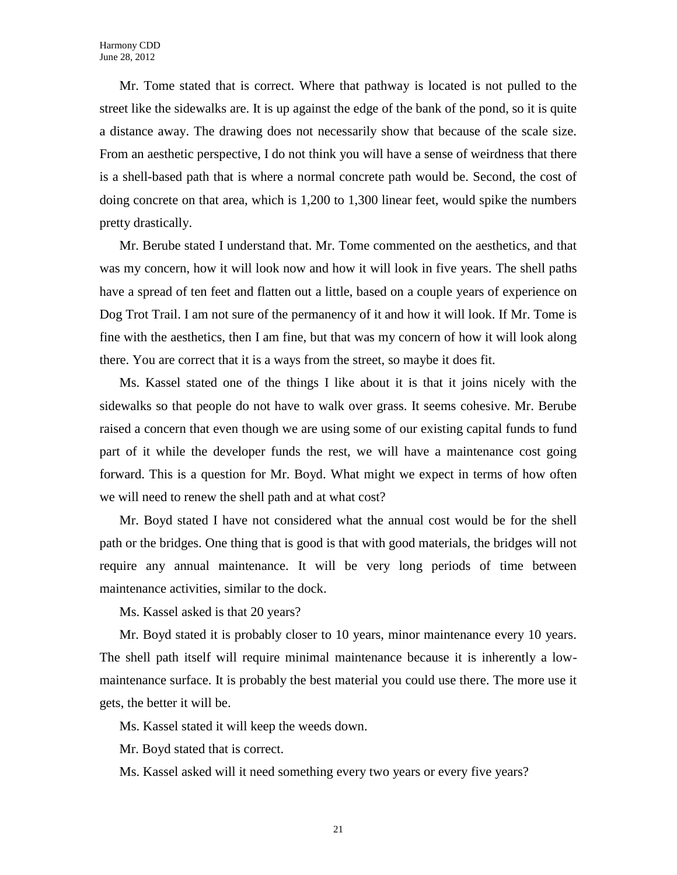Mr. Tome stated that is correct. Where that pathway is located is not pulled to the street like the sidewalks are. It is up against the edge of the bank of the pond, so it is quite a distance away. The drawing does not necessarily show that because of the scale size. From an aesthetic perspective, I do not think you will have a sense of weirdness that there is a shell-based path that is where a normal concrete path would be. Second, the cost of doing concrete on that area, which is 1,200 to 1,300 linear feet, would spike the numbers pretty drastically.

Mr. Berube stated I understand that. Mr. Tome commented on the aesthetics, and that was my concern, how it will look now and how it will look in five years. The shell paths have a spread of ten feet and flatten out a little, based on a couple years of experience on Dog Trot Trail. I am not sure of the permanency of it and how it will look. If Mr. Tome is fine with the aesthetics, then I am fine, but that was my concern of how it will look along there. You are correct that it is a ways from the street, so maybe it does fit.

Ms. Kassel stated one of the things I like about it is that it joins nicely with the sidewalks so that people do not have to walk over grass. It seems cohesive. Mr. Berube raised a concern that even though we are using some of our existing capital funds to fund part of it while the developer funds the rest, we will have a maintenance cost going forward. This is a question for Mr. Boyd. What might we expect in terms of how often we will need to renew the shell path and at what cost?

Mr. Boyd stated I have not considered what the annual cost would be for the shell path or the bridges. One thing that is good is that with good materials, the bridges will not require any annual maintenance. It will be very long periods of time between maintenance activities, similar to the dock.

Ms. Kassel asked is that 20 years?

Mr. Boyd stated it is probably closer to 10 years, minor maintenance every 10 years. The shell path itself will require minimal maintenance because it is inherently a lowmaintenance surface. It is probably the best material you could use there. The more use it gets, the better it will be.

Ms. Kassel stated it will keep the weeds down.

Mr. Boyd stated that is correct.

Ms. Kassel asked will it need something every two years or every five years?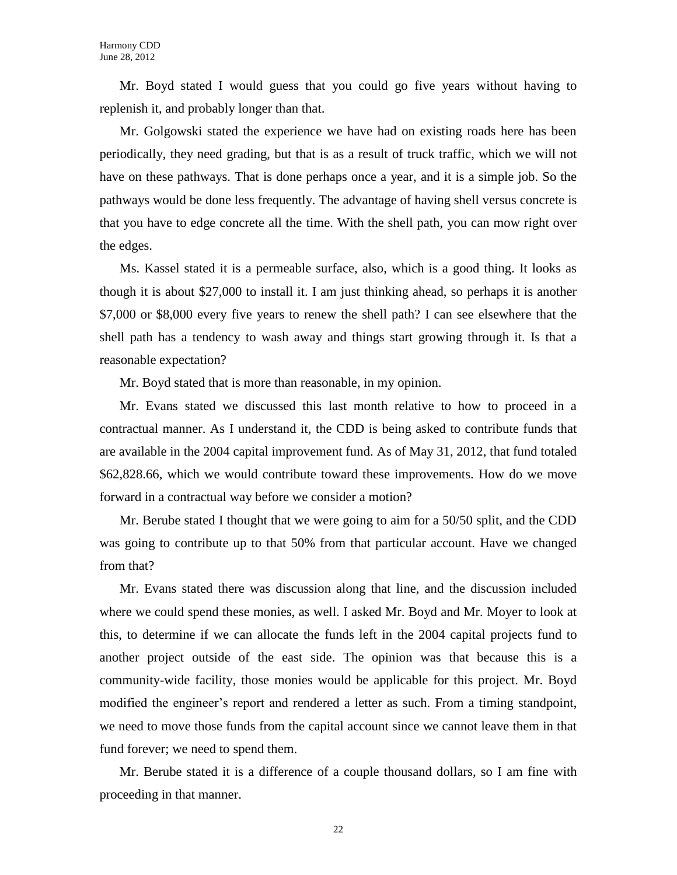Mr. Boyd stated I would guess that you could go five years without having to replenish it, and probably longer than that.

Mr. Golgowski stated the experience we have had on existing roads here has been periodically, they need grading, but that is as a result of truck traffic, which we will not have on these pathways. That is done perhaps once a year, and it is a simple job. So the pathways would be done less frequently. The advantage of having shell versus concrete is that you have to edge concrete all the time. With the shell path, you can mow right over the edges.

Ms. Kassel stated it is a permeable surface, also, which is a good thing. It looks as though it is about \$27,000 to install it. I am just thinking ahead, so perhaps it is another \$7,000 or \$8,000 every five years to renew the shell path? I can see elsewhere that the shell path has a tendency to wash away and things start growing through it. Is that a reasonable expectation?

Mr. Boyd stated that is more than reasonable, in my opinion.

Mr. Evans stated we discussed this last month relative to how to proceed in a contractual manner. As I understand it, the CDD is being asked to contribute funds that are available in the 2004 capital improvement fund. As of May 31, 2012, that fund totaled \$62,828.66, which we would contribute toward these improvements. How do we move forward in a contractual way before we consider a motion?

Mr. Berube stated I thought that we were going to aim for a 50/50 split, and the CDD was going to contribute up to that 50% from that particular account. Have we changed from that?

Mr. Evans stated there was discussion along that line, and the discussion included where we could spend these monies, as well. I asked Mr. Boyd and Mr. Moyer to look at this, to determine if we can allocate the funds left in the 2004 capital projects fund to another project outside of the east side. The opinion was that because this is a community-wide facility, those monies would be applicable for this project. Mr. Boyd modified the engineer's report and rendered a letter as such. From a timing standpoint, we need to move those funds from the capital account since we cannot leave them in that fund forever; we need to spend them.

Mr. Berube stated it is a difference of a couple thousand dollars, so I am fine with proceeding in that manner.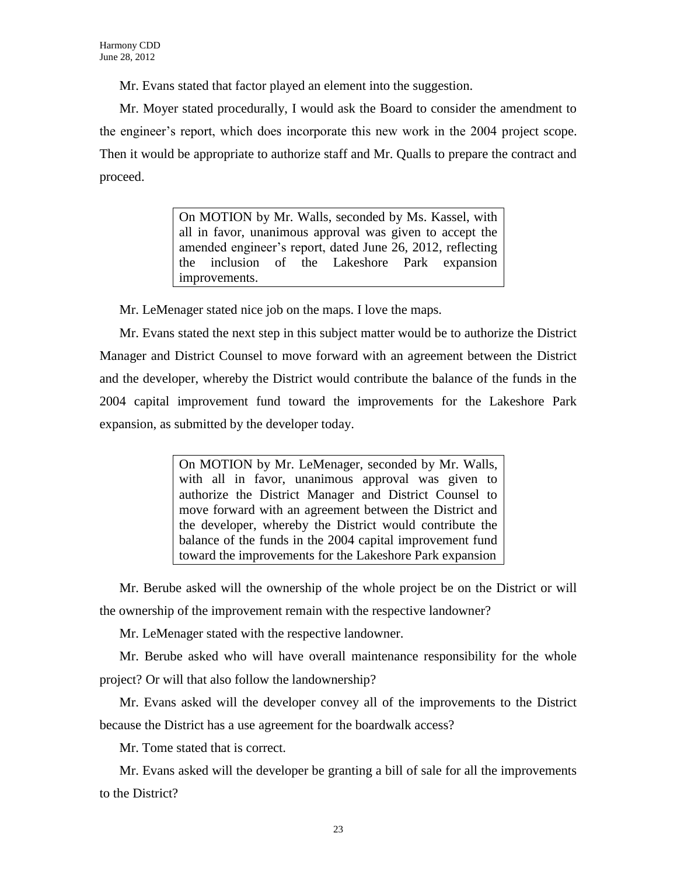Mr. Evans stated that factor played an element into the suggestion.

Mr. Moyer stated procedurally, I would ask the Board to consider the amendment to the engineer's report, which does incorporate this new work in the 2004 project scope. Then it would be appropriate to authorize staff and Mr. Qualls to prepare the contract and proceed.

> On MOTION by Mr. Walls, seconded by Ms. Kassel, with all in favor, unanimous approval was given to accept the amended engineer's report, dated June 26, 2012, reflecting the inclusion of the Lakeshore Park expansion improvements.

Mr. LeMenager stated nice job on the maps. I love the maps.

Mr. Evans stated the next step in this subject matter would be to authorize the District Manager and District Counsel to move forward with an agreement between the District and the developer, whereby the District would contribute the balance of the funds in the 2004 capital improvement fund toward the improvements for the Lakeshore Park expansion, as submitted by the developer today.

> On MOTION by Mr. LeMenager, seconded by Mr. Walls, with all in favor, unanimous approval was given to authorize the District Manager and District Counsel to move forward with an agreement between the District and the developer, whereby the District would contribute the balance of the funds in the 2004 capital improvement fund toward the improvements for the Lakeshore Park expansion

Mr. Berube asked will the ownership of the whole project be on the District or will the ownership of the improvement remain with the respective landowner?

Mr. LeMenager stated with the respective landowner.

Mr. Berube asked who will have overall maintenance responsibility for the whole project? Or will that also follow the landownership?

Mr. Evans asked will the developer convey all of the improvements to the District because the District has a use agreement for the boardwalk access?

Mr. Tome stated that is correct.

Mr. Evans asked will the developer be granting a bill of sale for all the improvements to the District?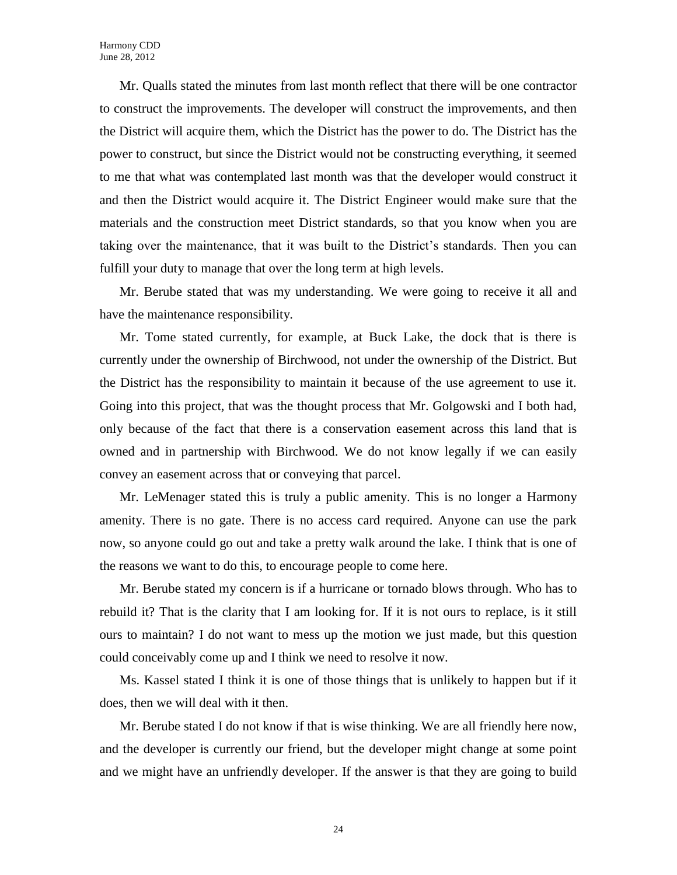Mr. Qualls stated the minutes from last month reflect that there will be one contractor to construct the improvements. The developer will construct the improvements, and then the District will acquire them, which the District has the power to do. The District has the power to construct, but since the District would not be constructing everything, it seemed to me that what was contemplated last month was that the developer would construct it and then the District would acquire it. The District Engineer would make sure that the materials and the construction meet District standards, so that you know when you are taking over the maintenance, that it was built to the District's standards. Then you can fulfill your duty to manage that over the long term at high levels.

Mr. Berube stated that was my understanding. We were going to receive it all and have the maintenance responsibility.

Mr. Tome stated currently, for example, at Buck Lake, the dock that is there is currently under the ownership of Birchwood, not under the ownership of the District. But the District has the responsibility to maintain it because of the use agreement to use it. Going into this project, that was the thought process that Mr. Golgowski and I both had, only because of the fact that there is a conservation easement across this land that is owned and in partnership with Birchwood. We do not know legally if we can easily convey an easement across that or conveying that parcel.

Mr. LeMenager stated this is truly a public amenity. This is no longer a Harmony amenity. There is no gate. There is no access card required. Anyone can use the park now, so anyone could go out and take a pretty walk around the lake. I think that is one of the reasons we want to do this, to encourage people to come here.

Mr. Berube stated my concern is if a hurricane or tornado blows through. Who has to rebuild it? That is the clarity that I am looking for. If it is not ours to replace, is it still ours to maintain? I do not want to mess up the motion we just made, but this question could conceivably come up and I think we need to resolve it now.

Ms. Kassel stated I think it is one of those things that is unlikely to happen but if it does, then we will deal with it then.

Mr. Berube stated I do not know if that is wise thinking. We are all friendly here now, and the developer is currently our friend, but the developer might change at some point and we might have an unfriendly developer. If the answer is that they are going to build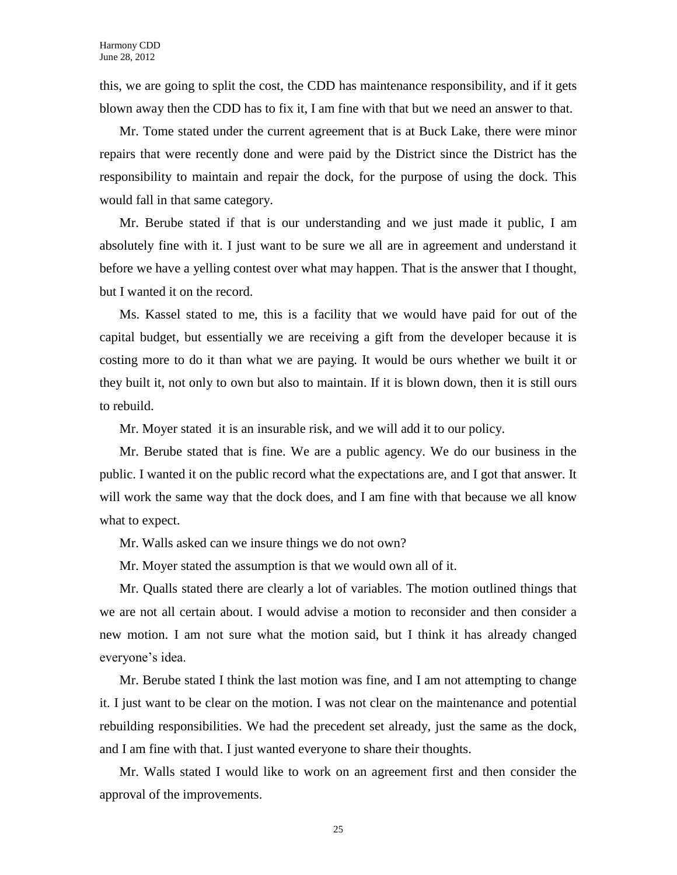this, we are going to split the cost, the CDD has maintenance responsibility, and if it gets blown away then the CDD has to fix it, I am fine with that but we need an answer to that.

Mr. Tome stated under the current agreement that is at Buck Lake, there were minor repairs that were recently done and were paid by the District since the District has the responsibility to maintain and repair the dock, for the purpose of using the dock. This would fall in that same category.

Mr. Berube stated if that is our understanding and we just made it public, I am absolutely fine with it. I just want to be sure we all are in agreement and understand it before we have a yelling contest over what may happen. That is the answer that I thought, but I wanted it on the record.

Ms. Kassel stated to me, this is a facility that we would have paid for out of the capital budget, but essentially we are receiving a gift from the developer because it is costing more to do it than what we are paying. It would be ours whether we built it or they built it, not only to own but also to maintain. If it is blown down, then it is still ours to rebuild.

Mr. Moyer stated it is an insurable risk, and we will add it to our policy.

Mr. Berube stated that is fine. We are a public agency. We do our business in the public. I wanted it on the public record what the expectations are, and I got that answer. It will work the same way that the dock does, and I am fine with that because we all know what to expect.

Mr. Walls asked can we insure things we do not own?

Mr. Moyer stated the assumption is that we would own all of it.

Mr. Qualls stated there are clearly a lot of variables. The motion outlined things that we are not all certain about. I would advise a motion to reconsider and then consider a new motion. I am not sure what the motion said, but I think it has already changed everyone's idea.

Mr. Berube stated I think the last motion was fine, and I am not attempting to change it. I just want to be clear on the motion. I was not clear on the maintenance and potential rebuilding responsibilities. We had the precedent set already, just the same as the dock, and I am fine with that. I just wanted everyone to share their thoughts.

Mr. Walls stated I would like to work on an agreement first and then consider the approval of the improvements.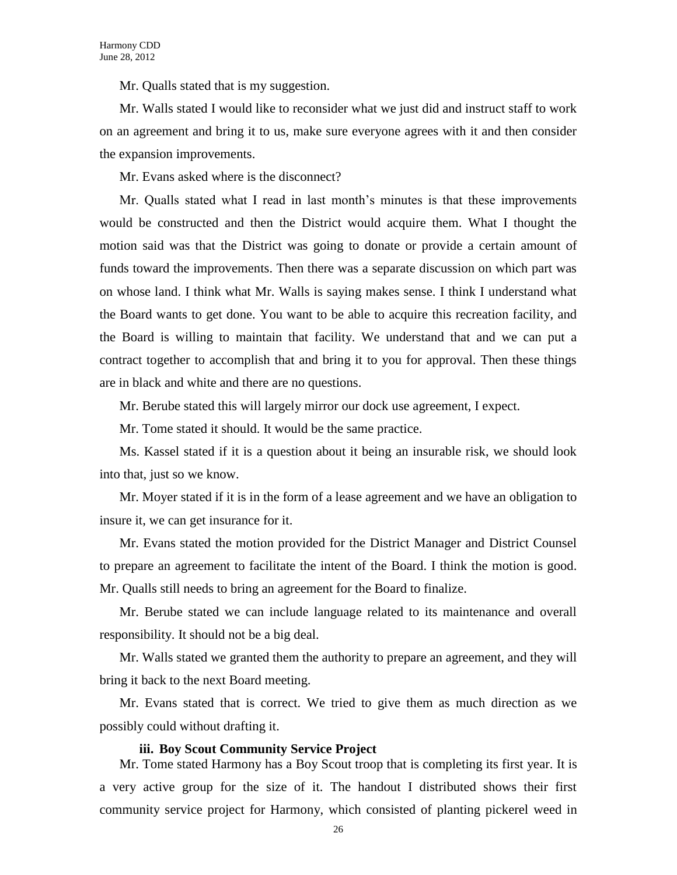Mr. Qualls stated that is my suggestion.

Mr. Walls stated I would like to reconsider what we just did and instruct staff to work on an agreement and bring it to us, make sure everyone agrees with it and then consider the expansion improvements.

Mr. Evans asked where is the disconnect?

Mr. Qualls stated what I read in last month's minutes is that these improvements would be constructed and then the District would acquire them. What I thought the motion said was that the District was going to donate or provide a certain amount of funds toward the improvements. Then there was a separate discussion on which part was on whose land. I think what Mr. Walls is saying makes sense. I think I understand what the Board wants to get done. You want to be able to acquire this recreation facility, and the Board is willing to maintain that facility. We understand that and we can put a contract together to accomplish that and bring it to you for approval. Then these things are in black and white and there are no questions.

Mr. Berube stated this will largely mirror our dock use agreement, I expect.

Mr. Tome stated it should. It would be the same practice.

Ms. Kassel stated if it is a question about it being an insurable risk, we should look into that, just so we know.

Mr. Moyer stated if it is in the form of a lease agreement and we have an obligation to insure it, we can get insurance for it.

Mr. Evans stated the motion provided for the District Manager and District Counsel to prepare an agreement to facilitate the intent of the Board. I think the motion is good. Mr. Qualls still needs to bring an agreement for the Board to finalize.

Mr. Berube stated we can include language related to its maintenance and overall responsibility. It should not be a big deal.

Mr. Walls stated we granted them the authority to prepare an agreement, and they will bring it back to the next Board meeting.

Mr. Evans stated that is correct. We tried to give them as much direction as we possibly could without drafting it.

#### **iii. Boy Scout Community Service Project**

Mr. Tome stated Harmony has a Boy Scout troop that is completing its first year. It is a very active group for the size of it. The handout I distributed shows their first community service project for Harmony, which consisted of planting pickerel weed in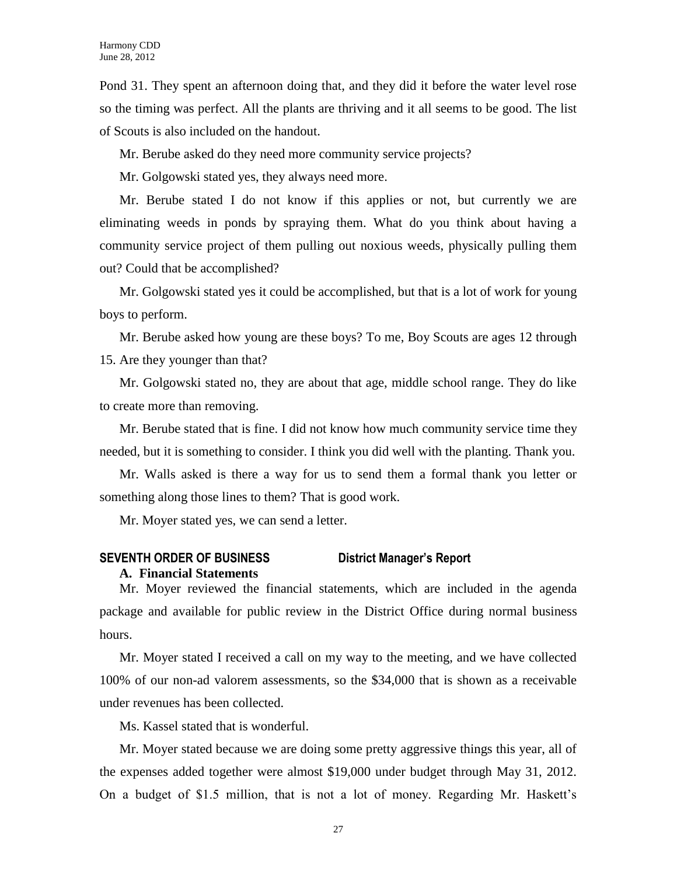Pond 31. They spent an afternoon doing that, and they did it before the water level rose so the timing was perfect. All the plants are thriving and it all seems to be good. The list of Scouts is also included on the handout.

Mr. Berube asked do they need more community service projects?

Mr. Golgowski stated yes, they always need more.

Mr. Berube stated I do not know if this applies or not, but currently we are eliminating weeds in ponds by spraying them. What do you think about having a community service project of them pulling out noxious weeds, physically pulling them out? Could that be accomplished?

Mr. Golgowski stated yes it could be accomplished, but that is a lot of work for young boys to perform.

Mr. Berube asked how young are these boys? To me, Boy Scouts are ages 12 through 15. Are they younger than that?

Mr. Golgowski stated no, they are about that age, middle school range. They do like to create more than removing.

Mr. Berube stated that is fine. I did not know how much community service time they needed, but it is something to consider. I think you did well with the planting. Thank you.

Mr. Walls asked is there a way for us to send them a formal thank you letter or something along those lines to them? That is good work.

Mr. Moyer stated yes, we can send a letter.

# **SEVENTH ORDER OF BUSINESS District Manager's Report**

### **A. Financial Statements**

Mr. Moyer reviewed the financial statements, which are included in the agenda package and available for public review in the District Office during normal business hours.

Mr. Moyer stated I received a call on my way to the meeting, and we have collected 100% of our non-ad valorem assessments, so the \$34,000 that is shown as a receivable under revenues has been collected.

Ms. Kassel stated that is wonderful.

Mr. Moyer stated because we are doing some pretty aggressive things this year, all of the expenses added together were almost \$19,000 under budget through May 31, 2012. On a budget of \$1.5 million, that is not a lot of money. Regarding Mr. Haskett's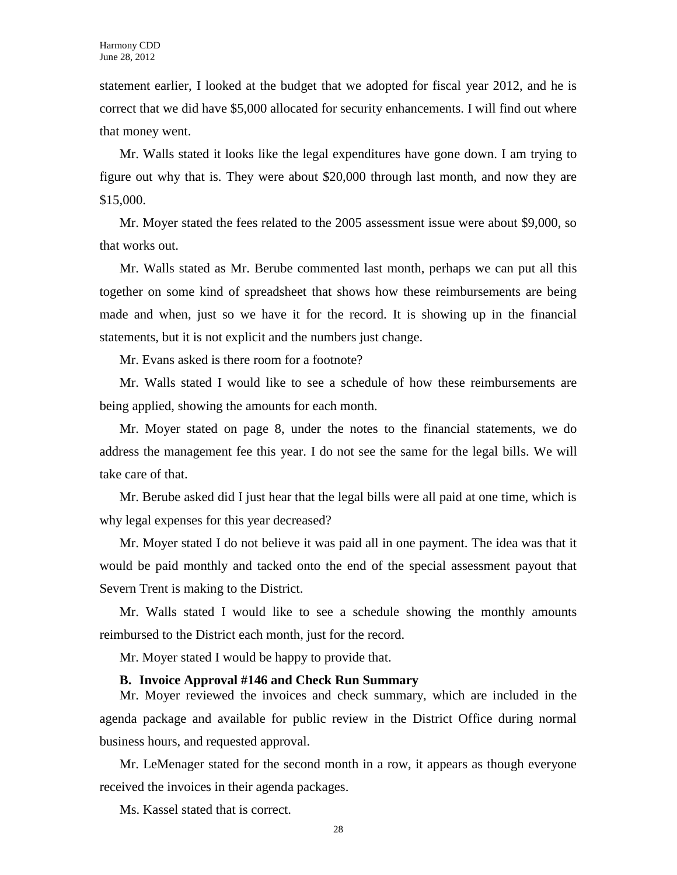statement earlier, I looked at the budget that we adopted for fiscal year 2012, and he is correct that we did have \$5,000 allocated for security enhancements. I will find out where that money went.

Mr. Walls stated it looks like the legal expenditures have gone down. I am trying to figure out why that is. They were about \$20,000 through last month, and now they are \$15,000.

Mr. Moyer stated the fees related to the 2005 assessment issue were about \$9,000, so that works out.

Mr. Walls stated as Mr. Berube commented last month, perhaps we can put all this together on some kind of spreadsheet that shows how these reimbursements are being made and when, just so we have it for the record. It is showing up in the financial statements, but it is not explicit and the numbers just change.

Mr. Evans asked is there room for a footnote?

Mr. Walls stated I would like to see a schedule of how these reimbursements are being applied, showing the amounts for each month.

Mr. Moyer stated on page 8, under the notes to the financial statements, we do address the management fee this year. I do not see the same for the legal bills. We will take care of that.

Mr. Berube asked did I just hear that the legal bills were all paid at one time, which is why legal expenses for this year decreased?

Mr. Moyer stated I do not believe it was paid all in one payment. The idea was that it would be paid monthly and tacked onto the end of the special assessment payout that Severn Trent is making to the District.

Mr. Walls stated I would like to see a schedule showing the monthly amounts reimbursed to the District each month, just for the record.

Mr. Moyer stated I would be happy to provide that.

# **B. Invoice Approval #146 and Check Run Summary**

Mr. Moyer reviewed the invoices and check summary, which are included in the agenda package and available for public review in the District Office during normal business hours, and requested approval.

Mr. LeMenager stated for the second month in a row, it appears as though everyone received the invoices in their agenda packages.

Ms. Kassel stated that is correct.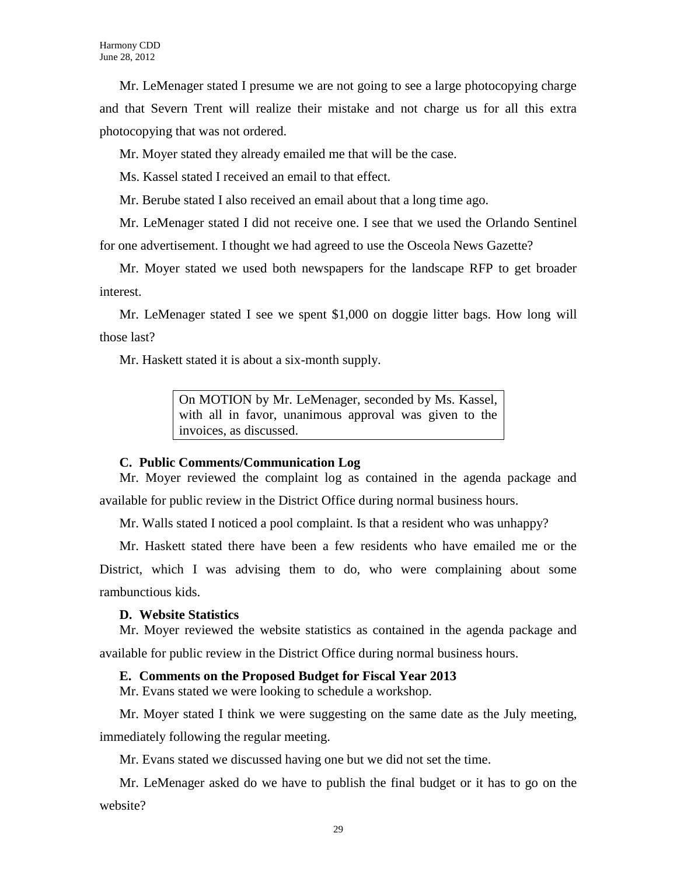Mr. LeMenager stated I presume we are not going to see a large photocopying charge and that Severn Trent will realize their mistake and not charge us for all this extra photocopying that was not ordered.

Mr. Moyer stated they already emailed me that will be the case.

Ms. Kassel stated I received an email to that effect.

Mr. Berube stated I also received an email about that a long time ago.

Mr. LeMenager stated I did not receive one. I see that we used the Orlando Sentinel for one advertisement. I thought we had agreed to use the Osceola News Gazette?

Mr. Moyer stated we used both newspapers for the landscape RFP to get broader interest.

Mr. LeMenager stated I see we spent \$1,000 on doggie litter bags. How long will those last?

Mr. Haskett stated it is about a six-month supply.

On MOTION by Mr. LeMenager, seconded by Ms. Kassel, with all in favor, unanimous approval was given to the invoices, as discussed.

# **C. Public Comments/Communication Log**

Mr. Moyer reviewed the complaint log as contained in the agenda package and available for public review in the District Office during normal business hours.

Mr. Walls stated I noticed a pool complaint. Is that a resident who was unhappy?

Mr. Haskett stated there have been a few residents who have emailed me or the District, which I was advising them to do, who were complaining about some rambunctious kids.

# **D. Website Statistics**

Mr. Moyer reviewed the website statistics as contained in the agenda package and available for public review in the District Office during normal business hours.

# **E. Comments on the Proposed Budget for Fiscal Year 2013**

Mr. Evans stated we were looking to schedule a workshop.

Mr. Moyer stated I think we were suggesting on the same date as the July meeting, immediately following the regular meeting.

Mr. Evans stated we discussed having one but we did not set the time.

Mr. LeMenager asked do we have to publish the final budget or it has to go on the website?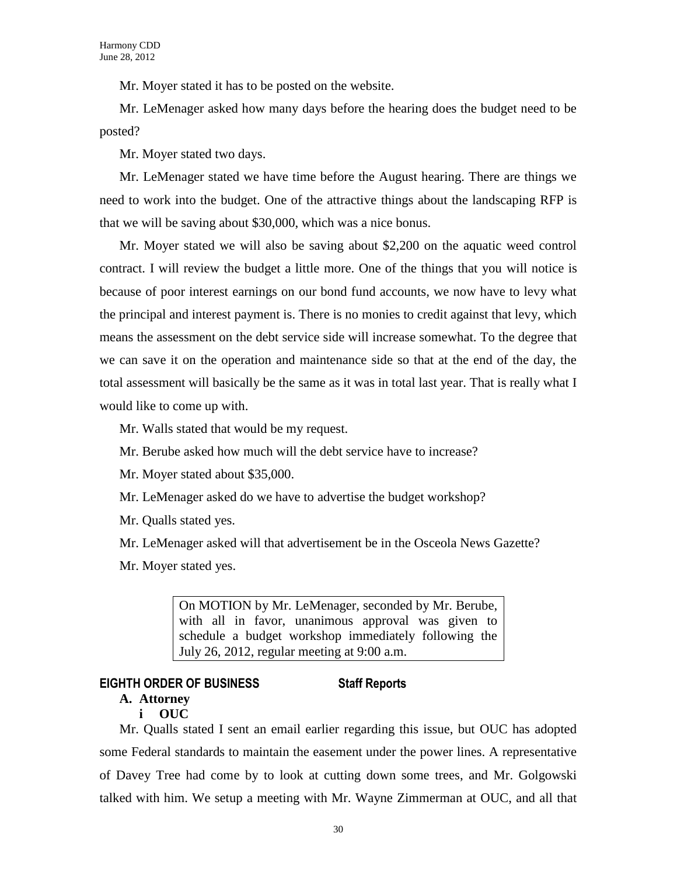Mr. Moyer stated it has to be posted on the website.

Mr. LeMenager asked how many days before the hearing does the budget need to be posted?

Mr. Moyer stated two days.

Mr. LeMenager stated we have time before the August hearing. There are things we need to work into the budget. One of the attractive things about the landscaping RFP is that we will be saving about \$30,000, which was a nice bonus.

Mr. Moyer stated we will also be saving about \$2,200 on the aquatic weed control contract. I will review the budget a little more. One of the things that you will notice is because of poor interest earnings on our bond fund accounts, we now have to levy what the principal and interest payment is. There is no monies to credit against that levy, which means the assessment on the debt service side will increase somewhat. To the degree that we can save it on the operation and maintenance side so that at the end of the day, the total assessment will basically be the same as it was in total last year. That is really what I would like to come up with.

Mr. Walls stated that would be my request.

Mr. Berube asked how much will the debt service have to increase?

Mr. Moyer stated about \$35,000.

Mr. LeMenager asked do we have to advertise the budget workshop?

Mr. Qualls stated yes.

Mr. LeMenager asked will that advertisement be in the Osceola News Gazette?

Mr. Moyer stated yes.

On MOTION by Mr. LeMenager, seconded by Mr. Berube, with all in favor, unanimous approval was given to schedule a budget workshop immediately following the July 26, 2012, regular meeting at 9:00 a.m.

# **EIGHTH ORDER OF BUSINESS Staff Reports**

# **A. Attorney**

# **i OUC**

Mr. Qualls stated I sent an email earlier regarding this issue, but OUC has adopted some Federal standards to maintain the easement under the power lines. A representative of Davey Tree had come by to look at cutting down some trees, and Mr. Golgowski talked with him. We setup a meeting with Mr. Wayne Zimmerman at OUC, and all that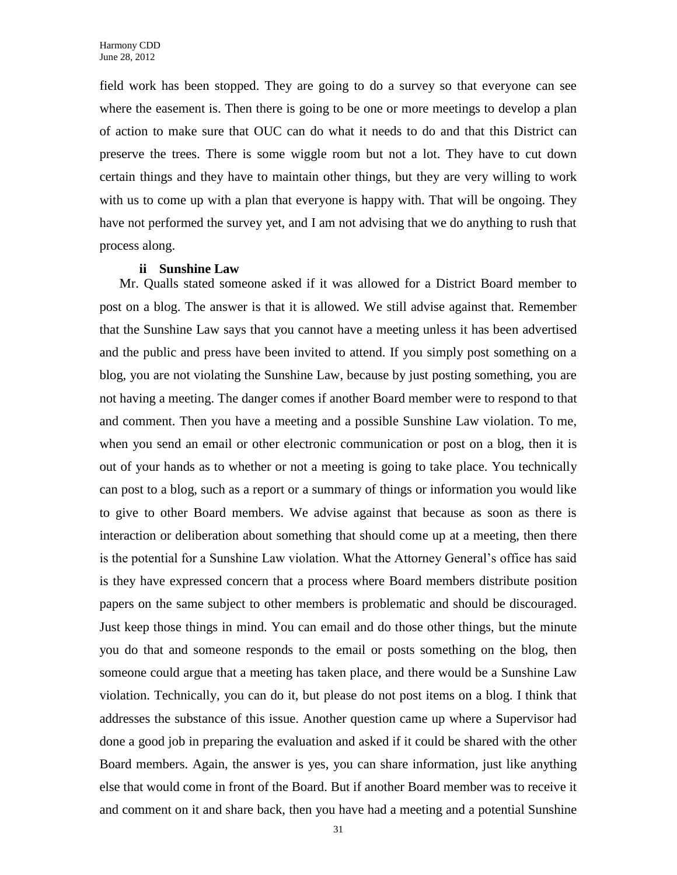field work has been stopped. They are going to do a survey so that everyone can see where the easement is. Then there is going to be one or more meetings to develop a plan of action to make sure that OUC can do what it needs to do and that this District can preserve the trees. There is some wiggle room but not a lot. They have to cut down certain things and they have to maintain other things, but they are very willing to work with us to come up with a plan that everyone is happy with. That will be ongoing. They have not performed the survey yet, and I am not advising that we do anything to rush that process along.

#### **ii Sunshine Law**

Mr. Qualls stated someone asked if it was allowed for a District Board member to post on a blog. The answer is that it is allowed. We still advise against that. Remember that the Sunshine Law says that you cannot have a meeting unless it has been advertised and the public and press have been invited to attend. If you simply post something on a blog, you are not violating the Sunshine Law, because by just posting something, you are not having a meeting. The danger comes if another Board member were to respond to that and comment. Then you have a meeting and a possible Sunshine Law violation. To me, when you send an email or other electronic communication or post on a blog, then it is out of your hands as to whether or not a meeting is going to take place. You technically can post to a blog, such as a report or a summary of things or information you would like to give to other Board members. We advise against that because as soon as there is interaction or deliberation about something that should come up at a meeting, then there is the potential for a Sunshine Law violation. What the Attorney General's office has said is they have expressed concern that a process where Board members distribute position papers on the same subject to other members is problematic and should be discouraged. Just keep those things in mind. You can email and do those other things, but the minute you do that and someone responds to the email or posts something on the blog, then someone could argue that a meeting has taken place, and there would be a Sunshine Law violation. Technically, you can do it, but please do not post items on a blog. I think that addresses the substance of this issue. Another question came up where a Supervisor had done a good job in preparing the evaluation and asked if it could be shared with the other Board members. Again, the answer is yes, you can share information, just like anything else that would come in front of the Board. But if another Board member was to receive it and comment on it and share back, then you have had a meeting and a potential Sunshine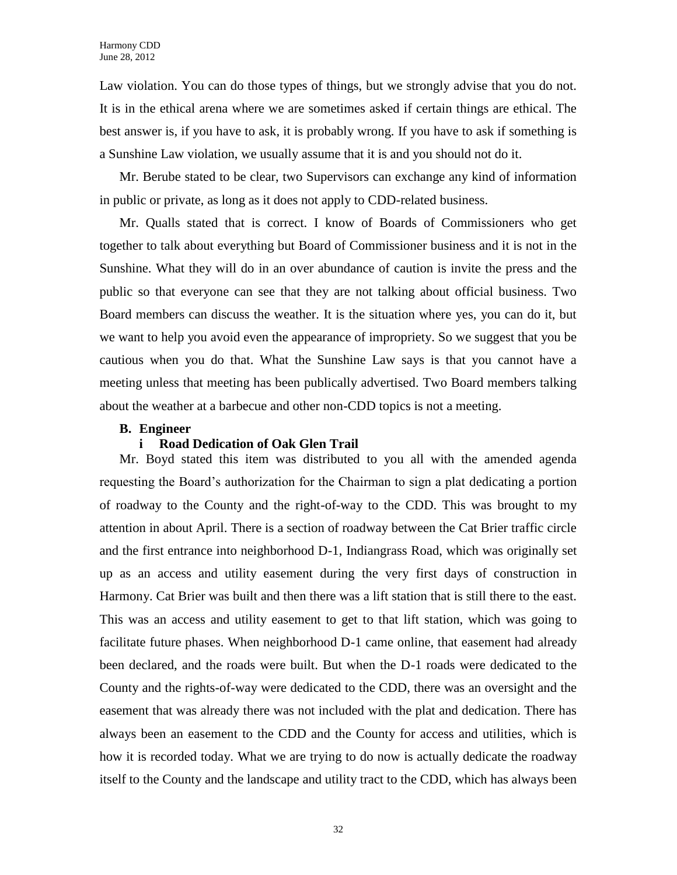Law violation. You can do those types of things, but we strongly advise that you do not. It is in the ethical arena where we are sometimes asked if certain things are ethical. The best answer is, if you have to ask, it is probably wrong. If you have to ask if something is a Sunshine Law violation, we usually assume that it is and you should not do it.

Mr. Berube stated to be clear, two Supervisors can exchange any kind of information in public or private, as long as it does not apply to CDD-related business.

Mr. Qualls stated that is correct. I know of Boards of Commissioners who get together to talk about everything but Board of Commissioner business and it is not in the Sunshine. What they will do in an over abundance of caution is invite the press and the public so that everyone can see that they are not talking about official business. Two Board members can discuss the weather. It is the situation where yes, you can do it, but we want to help you avoid even the appearance of impropriety. So we suggest that you be cautious when you do that. What the Sunshine Law says is that you cannot have a meeting unless that meeting has been publically advertised. Two Board members talking about the weather at a barbecue and other non-CDD topics is not a meeting.

# **B. Engineer**

# **i Road Dedication of Oak Glen Trail**

Mr. Boyd stated this item was distributed to you all with the amended agenda requesting the Board's authorization for the Chairman to sign a plat dedicating a portion of roadway to the County and the right-of-way to the CDD. This was brought to my attention in about April. There is a section of roadway between the Cat Brier traffic circle and the first entrance into neighborhood D-1, Indiangrass Road, which was originally set up as an access and utility easement during the very first days of construction in Harmony. Cat Brier was built and then there was a lift station that is still there to the east. This was an access and utility easement to get to that lift station, which was going to facilitate future phases. When neighborhood D-1 came online, that easement had already been declared, and the roads were built. But when the D-1 roads were dedicated to the County and the rights-of-way were dedicated to the CDD, there was an oversight and the easement that was already there was not included with the plat and dedication. There has always been an easement to the CDD and the County for access and utilities, which is how it is recorded today. What we are trying to do now is actually dedicate the roadway itself to the County and the landscape and utility tract to the CDD, which has always been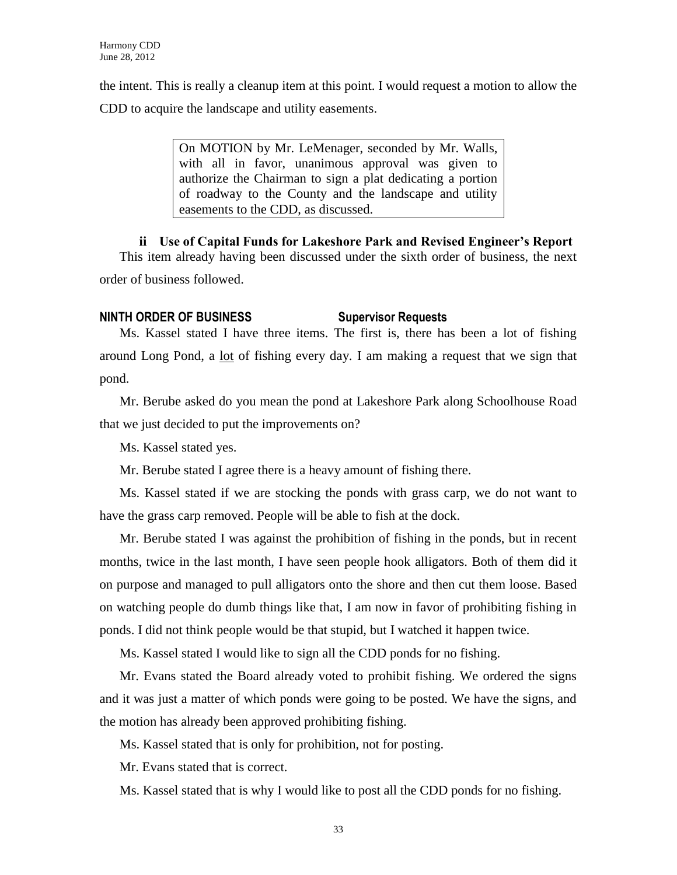the intent. This is really a cleanup item at this point. I would request a motion to allow the CDD to acquire the landscape and utility easements.

> On MOTION by Mr. LeMenager, seconded by Mr. Walls, with all in favor, unanimous approval was given to authorize the Chairman to sign a plat dedicating a portion of roadway to the County and the landscape and utility easements to the CDD, as discussed.

**ii Use of Capital Funds for Lakeshore Park and Revised Engineer's Report** This item already having been discussed under the sixth order of business, the next order of business followed.

# **NINTH ORDER OF BUSINESS Supervisor Requests**

Ms. Kassel stated I have three items. The first is, there has been a lot of fishing around Long Pond, a <u>lot</u> of fishing every day. I am making a request that we sign that pond.

Mr. Berube asked do you mean the pond at Lakeshore Park along Schoolhouse Road that we just decided to put the improvements on?

Ms. Kassel stated yes.

Mr. Berube stated I agree there is a heavy amount of fishing there.

Ms. Kassel stated if we are stocking the ponds with grass carp, we do not want to have the grass carp removed. People will be able to fish at the dock.

Mr. Berube stated I was against the prohibition of fishing in the ponds, but in recent months, twice in the last month, I have seen people hook alligators. Both of them did it on purpose and managed to pull alligators onto the shore and then cut them loose. Based on watching people do dumb things like that, I am now in favor of prohibiting fishing in ponds. I did not think people would be that stupid, but I watched it happen twice.

Ms. Kassel stated I would like to sign all the CDD ponds for no fishing.

Mr. Evans stated the Board already voted to prohibit fishing. We ordered the signs and it was just a matter of which ponds were going to be posted. We have the signs, and the motion has already been approved prohibiting fishing.

Ms. Kassel stated that is only for prohibition, not for posting.

Mr. Evans stated that is correct.

Ms. Kassel stated that is why I would like to post all the CDD ponds for no fishing.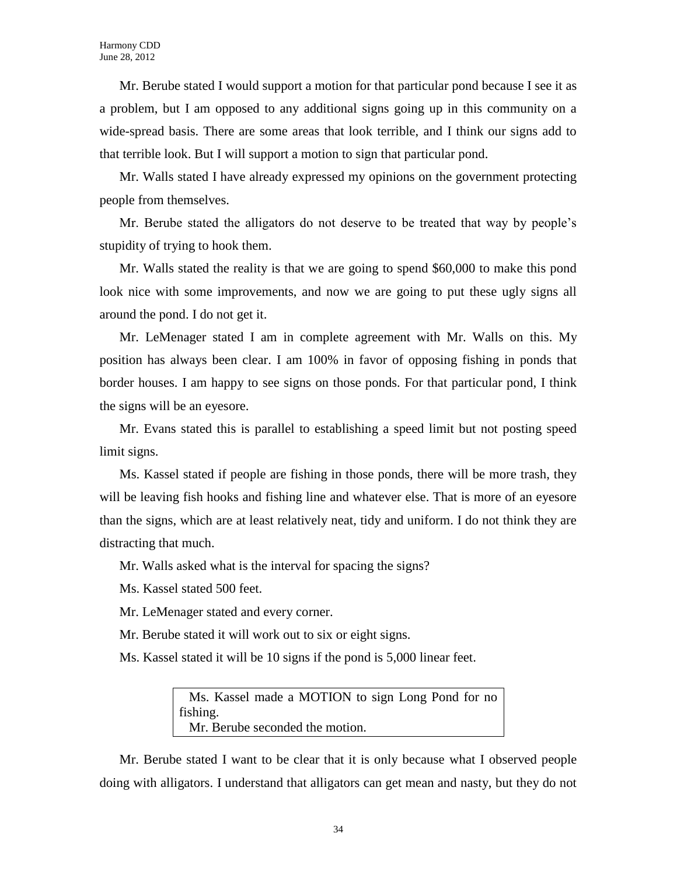Mr. Berube stated I would support a motion for that particular pond because I see it as a problem, but I am opposed to any additional signs going up in this community on a wide-spread basis. There are some areas that look terrible, and I think our signs add to that terrible look. But I will support a motion to sign that particular pond.

Mr. Walls stated I have already expressed my opinions on the government protecting people from themselves.

Mr. Berube stated the alligators do not deserve to be treated that way by people's stupidity of trying to hook them.

Mr. Walls stated the reality is that we are going to spend \$60,000 to make this pond look nice with some improvements, and now we are going to put these ugly signs all around the pond. I do not get it.

Mr. LeMenager stated I am in complete agreement with Mr. Walls on this. My position has always been clear. I am 100% in favor of opposing fishing in ponds that border houses. I am happy to see signs on those ponds. For that particular pond, I think the signs will be an eyesore.

Mr. Evans stated this is parallel to establishing a speed limit but not posting speed limit signs.

Ms. Kassel stated if people are fishing in those ponds, there will be more trash, they will be leaving fish hooks and fishing line and whatever else. That is more of an eyesore than the signs, which are at least relatively neat, tidy and uniform. I do not think they are distracting that much.

Mr. Walls asked what is the interval for spacing the signs?

Ms. Kassel stated 500 feet.

Mr. LeMenager stated and every corner.

Mr. Berube stated it will work out to six or eight signs.

Ms. Kassel stated it will be 10 signs if the pond is 5,000 linear feet.

 Ms. Kassel made a MOTION to sign Long Pond for no fishing. Mr. Berube seconded the motion.

Mr. Berube stated I want to be clear that it is only because what I observed people doing with alligators. I understand that alligators can get mean and nasty, but they do not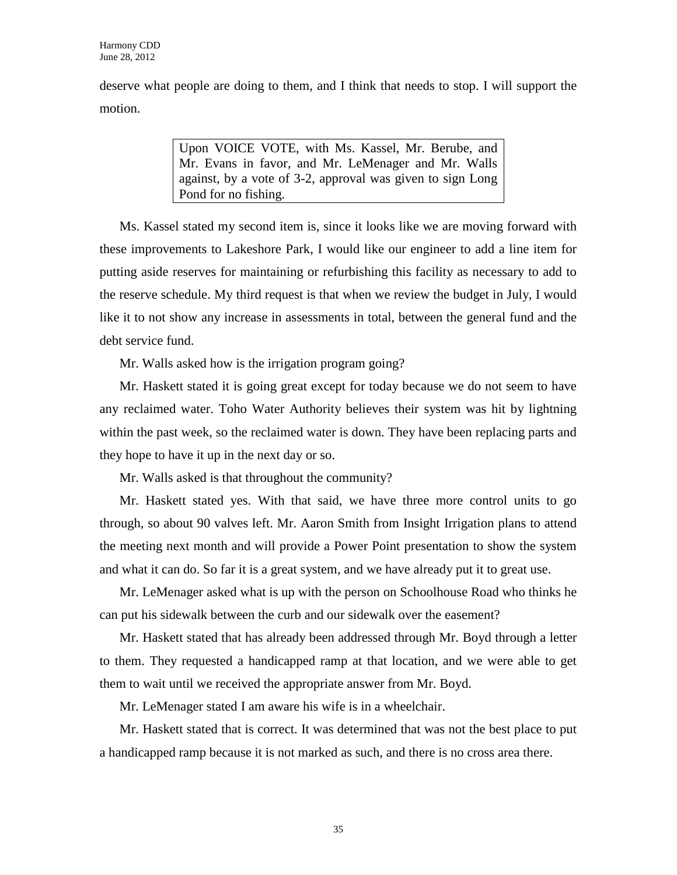deserve what people are doing to them, and I think that needs to stop. I will support the motion.

> Upon VOICE VOTE, with Ms. Kassel, Mr. Berube, and Mr. Evans in favor, and Mr. LeMenager and Mr. Walls against, by a vote of 3-2, approval was given to sign Long Pond for no fishing.

Ms. Kassel stated my second item is, since it looks like we are moving forward with these improvements to Lakeshore Park, I would like our engineer to add a line item for putting aside reserves for maintaining or refurbishing this facility as necessary to add to the reserve schedule. My third request is that when we review the budget in July, I would like it to not show any increase in assessments in total, between the general fund and the debt service fund.

Mr. Walls asked how is the irrigation program going?

Mr. Haskett stated it is going great except for today because we do not seem to have any reclaimed water. Toho Water Authority believes their system was hit by lightning within the past week, so the reclaimed water is down. They have been replacing parts and they hope to have it up in the next day or so.

Mr. Walls asked is that throughout the community?

Mr. Haskett stated yes. With that said, we have three more control units to go through, so about 90 valves left. Mr. Aaron Smith from Insight Irrigation plans to attend the meeting next month and will provide a Power Point presentation to show the system and what it can do. So far it is a great system, and we have already put it to great use.

Mr. LeMenager asked what is up with the person on Schoolhouse Road who thinks he can put his sidewalk between the curb and our sidewalk over the easement?

Mr. Haskett stated that has already been addressed through Mr. Boyd through a letter to them. They requested a handicapped ramp at that location, and we were able to get them to wait until we received the appropriate answer from Mr. Boyd.

Mr. LeMenager stated I am aware his wife is in a wheelchair.

Mr. Haskett stated that is correct. It was determined that was not the best place to put a handicapped ramp because it is not marked as such, and there is no cross area there.